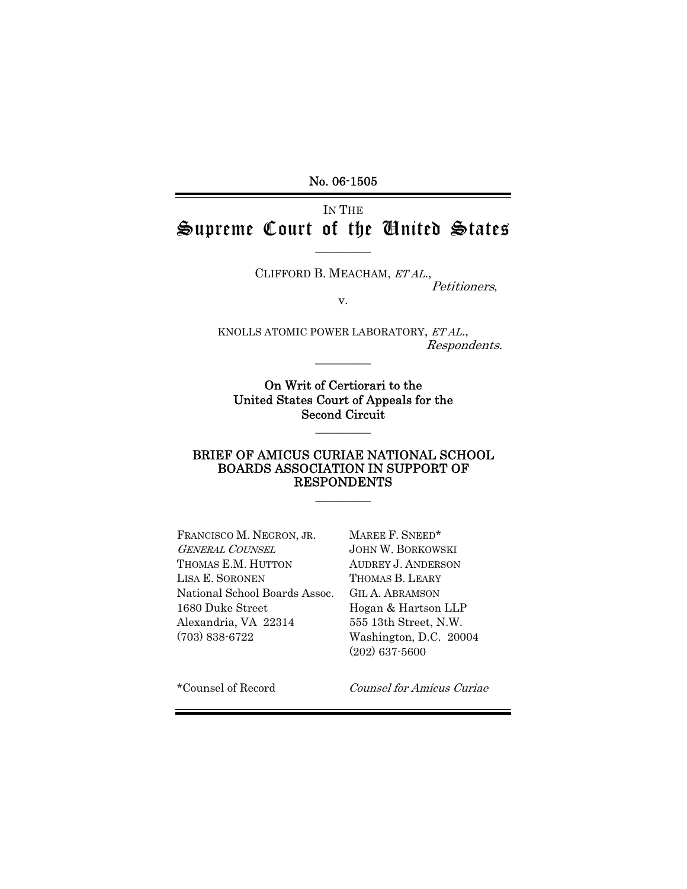No. 06-1505

# IN THE Supreme Court of the United States

 $\overline{\phantom{a}}$  . The set of  $\overline{\phantom{a}}$ 

CLIFFORD B. MEACHAM, ET AL., Petitioners,

v.

KNOLLS ATOMIC POWER LABORATORY, ET AL., Respondents.  $\overline{\phantom{a}}$  . The set of  $\overline{\phantom{a}}$ 

On Writ of Certiorari to the United States Court of Appeals for the Second Circuit

 $\overline{\phantom{a}}$  . The set of  $\overline{\phantom{a}}$ 

#### BRIEF OF AMICUS CURIAE NATIONAL SCHOOL BOARDS ASSOCIATION IN SUPPORT OF RESPONDENTS

 $\overline{\phantom{a}}$  ,  $\overline{\phantom{a}}$  ,  $\overline{\phantom{a}}$  ,  $\overline{\phantom{a}}$  ,  $\overline{\phantom{a}}$  ,  $\overline{\phantom{a}}$  ,  $\overline{\phantom{a}}$  ,  $\overline{\phantom{a}}$  ,  $\overline{\phantom{a}}$  ,  $\overline{\phantom{a}}$  ,  $\overline{\phantom{a}}$  ,  $\overline{\phantom{a}}$  ,  $\overline{\phantom{a}}$  ,  $\overline{\phantom{a}}$  ,  $\overline{\phantom{a}}$  ,  $\overline{\phantom{a}}$ 

FRANCISCO M. NEGRON, JR. MAREE F. SNEED\* GENERAL COUNSEL JOHN W. BORKOWSKI THOMAS E.M. HUTTON AUDREY J. ANDERSON LISA E. SORONEN THOMAS B. LEARY National School Boards Assoc. GIL A. ABRAMSON 1680 Duke Street Hogan & Hartson LLP Alexandria, VA 22314 555 13th Street, N.W. (703) 838-6722 Washington, D.C. 20004

(202) 637-5600

\*Counsel of Record Counsel for Amicus Curiae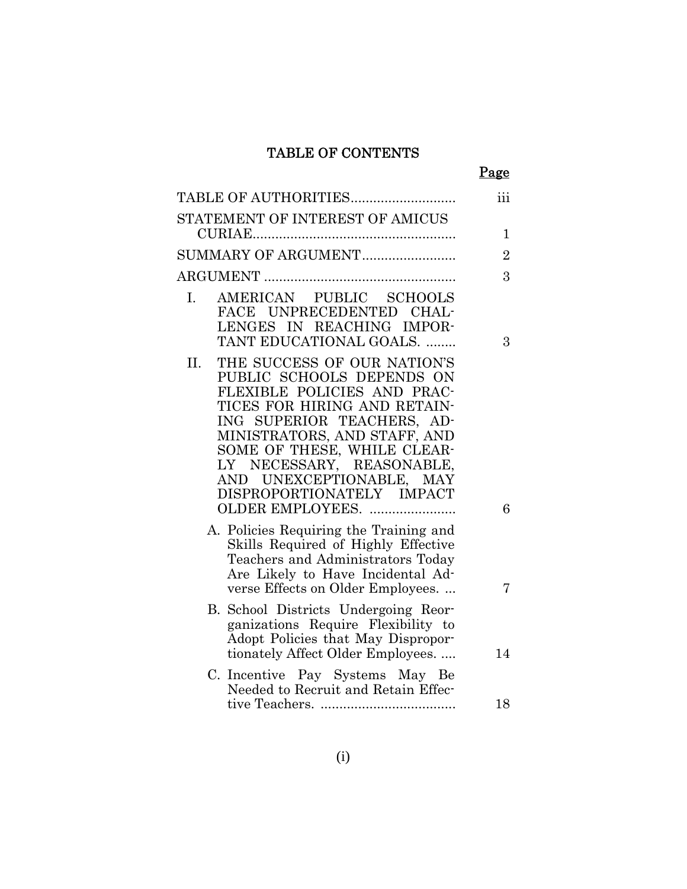## TABLE OF CONTENTS

Page

| TABLE OF AUTHORITIES                                                                                                                                                                                                                                                                                              | iii            |
|-------------------------------------------------------------------------------------------------------------------------------------------------------------------------------------------------------------------------------------------------------------------------------------------------------------------|----------------|
| STATEMENT OF INTEREST OF AMICUS                                                                                                                                                                                                                                                                                   |                |
|                                                                                                                                                                                                                                                                                                                   | 1              |
| SUMMARY OF ARGUMENT                                                                                                                                                                                                                                                                                               | $\overline{2}$ |
|                                                                                                                                                                                                                                                                                                                   | 3              |
| AMERICAN PUBLIC SCHOOLS<br>L.<br>FACE UNPRECEDENTED CHAL-<br>LENGES IN REACHING IMPOR-<br>TANT EDUCATIONAL GOALS.                                                                                                                                                                                                 | 3              |
| THE SUCCESS OF OUR NATION'S<br>II.<br>PUBLIC SCHOOLS DEPENDS ON<br>FLEXIBLE POLICIES AND PRAC-<br>TICES FOR HIRING AND RETAIN-<br>ING SUPERIOR TEACHERS, AD-<br>MINISTRATORS, AND STAFF, AND<br>SOME OF THESE, WHILE CLEAR-<br>LY NECESSARY, REASONABLE,<br>AND UNEXCEPTIONABLE, MAY<br>DISPROPORTIONATELY IMPACT |                |
| OLDER EMPLOYEES.<br>A. Policies Requiring the Training and<br>Skills Required of Highly Effective<br>Teachers and Administrators Today<br>Are Likely to Have Incidental Ad-                                                                                                                                       | 6              |
| verse Effects on Older Employees<br>B. School Districts Undergoing Reor-<br>ganizations Require Flexibility to<br>Adopt Policies that May Dispropor-<br>tionately Affect Older Employees                                                                                                                          | 7<br>14        |
| C. Incentive Pay Systems May Be<br>Needed to Recruit and Retain Effec-                                                                                                                                                                                                                                            | 18             |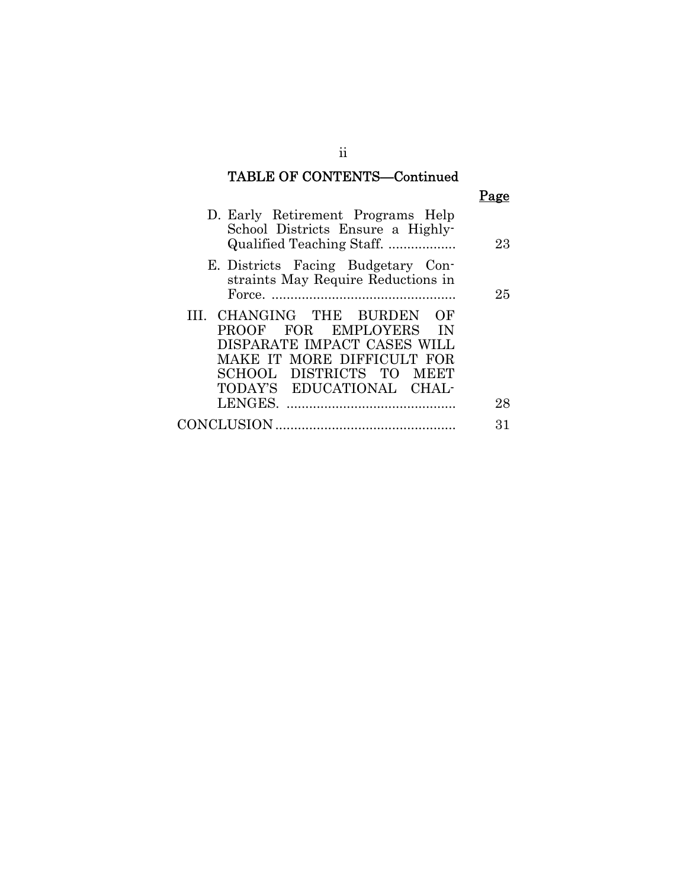# TABLE OF CONTENTS—Continued

| D. Early Retirement Programs Help<br>School Districts Ensure a Highly-<br>Qualified Teaching Staff.                                                                         | 23 |
|-----------------------------------------------------------------------------------------------------------------------------------------------------------------------------|----|
| E. Districts Facing Budgetary Con-<br>straints May Require Reductions in                                                                                                    | 25 |
| III. CHANGING THE BURDEN OF<br>PROOF FOR EMPLOYERS IN<br>DISPARATE IMPACT CASES WILL<br>MAKE IT MORE DIFFICULT FOR<br>SCHOOL DISTRICTS TO MEET<br>TODAY'S EDUCATIONAL CHAL- |    |
| LENGES.                                                                                                                                                                     | 28 |
| <b>CONCLUSION</b>                                                                                                                                                           | 31 |
|                                                                                                                                                                             |    |

ii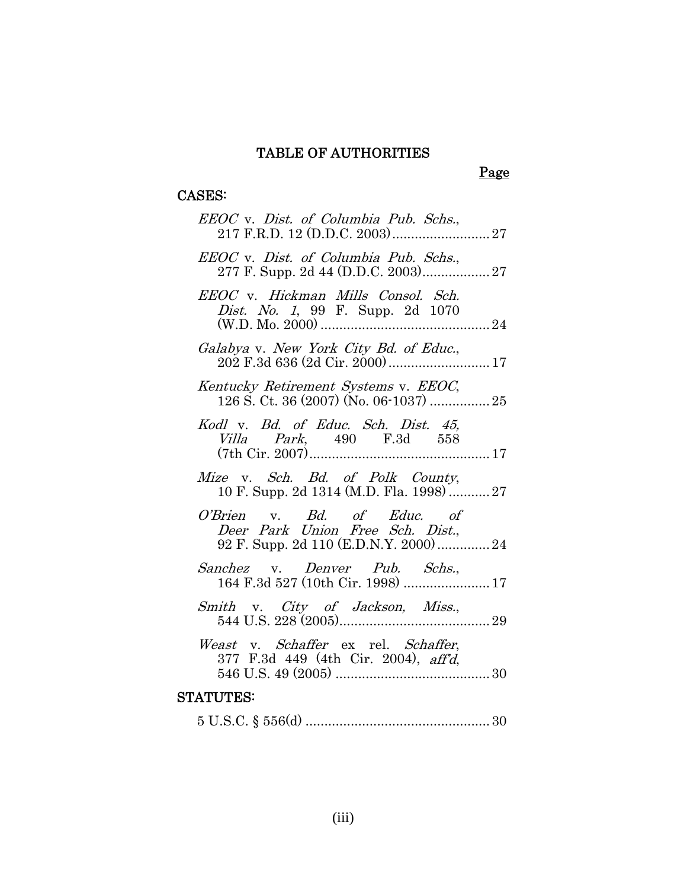# Page

## CASES:

| EEOC v. Dist. of Columbia Pub. Schs.,                                        |  |
|------------------------------------------------------------------------------|--|
| EEOC v. Dist. of Columbia Pub. Schs.,                                        |  |
| EEOC v. Hickman Mills Consol. Sch.<br>Dist. No. 1, 99 F. Supp. 2d 1070       |  |
| Galabya v. New York City Bd. of Educ.,<br>202 F.3d 636 (2d Cir. 2000)  17    |  |
| Kentucky Retirement Systems v. EEOC,                                         |  |
| Kodl v. Bd. of Educ. Sch. Dist. 45,<br><i>Villa Park</i> , 490 F.3d 558      |  |
| Mize v. Sch. Bd. of Polk County,<br>10 F. Supp. 2d 1314 (M.D. Fla. 1998)  27 |  |
| O'Brien v. Bd. of Educ. of<br>Deer Park Union Free Sch. Dist.,               |  |
| Sanchez v. Denver Pub. Schs.,                                                |  |
| Smith v. City of Jackson, Miss.,                                             |  |
| Weast v. Schaffer ex rel. Schaffer,<br>377 F.3d 449 (4th Cir. 2004), aff'd,  |  |
| <b>STATUTES:</b>                                                             |  |

5 U.S.C. § 556(d) .................................................30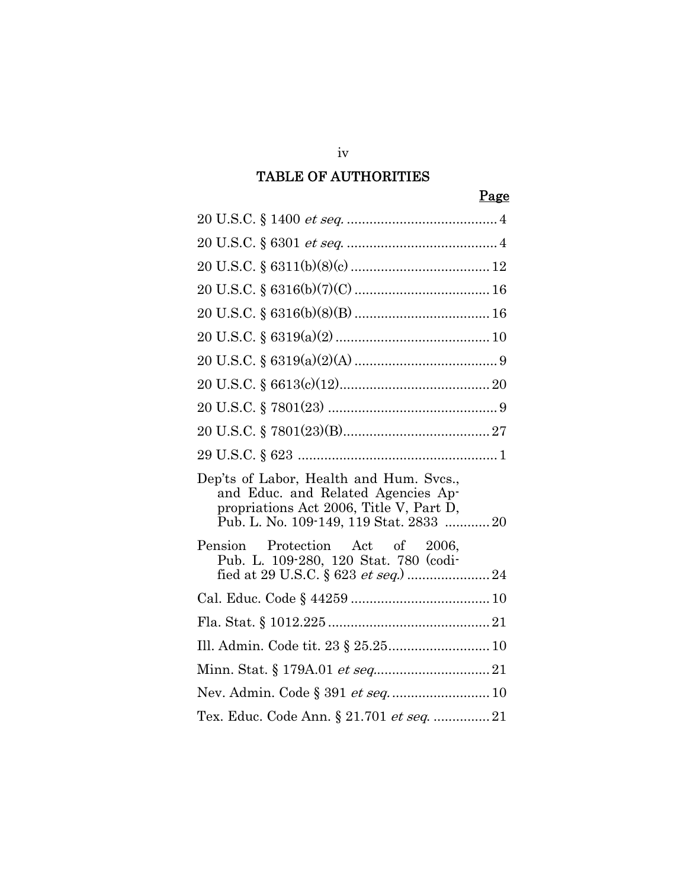## Page

| Dep'ts of Labor, Health and Hum. Svcs.,<br>and Educ. and Related Agencies Ap-<br>propriations Act 2006, Title V, Part D,<br>Pub. L. No. 109-149, 119 Stat. 2833  20 |
|---------------------------------------------------------------------------------------------------------------------------------------------------------------------|
| Pension Protection Act of 2006,<br>Pub. L. 109-280, 120 Stat. 780 (codi-                                                                                            |
|                                                                                                                                                                     |
|                                                                                                                                                                     |
| Ill. Admin. Code tit. 23 § 25.25 10                                                                                                                                 |
|                                                                                                                                                                     |
| Nev. Admin. Code § 391 et seq 10                                                                                                                                    |
|                                                                                                                                                                     |

iv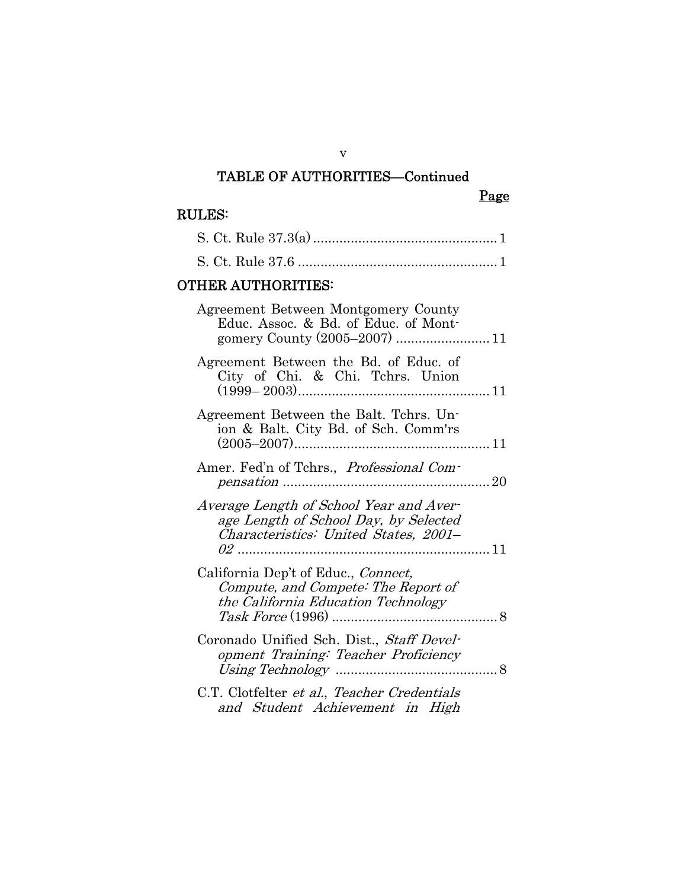## TABLE OF AUTHORITIES—Continued

## RULES:

| <b>OTHER AUTHORITIES:</b>                                                                                                               |  |
|-----------------------------------------------------------------------------------------------------------------------------------------|--|
| Agreement Between Montgomery County<br>Educ. Assoc. & Bd. of Educ. of Mont-                                                             |  |
| Agreement Between the Bd. of Educ. of<br>City of Chi. & Chi. Tchrs. Union                                                               |  |
| Agreement Between the Balt. Tchrs. Un-<br>ion & Balt. City Bd. of Sch. Comm'rs                                                          |  |
| Amer. Fed'n of Tchrs., Professional Com-<br>. 20                                                                                        |  |
| Average Length of School Year and Aver-<br>age Length of School Day, by Selected<br>Characteristics: United States, 2001–<br>$02$<br>11 |  |
| California Dep't of Educ., Connect,<br>Compute, and Compete: The Report of<br>the California Education Technology<br>. 8                |  |
| Coronado Unified Sch. Dist., Staff Devel-<br>opment Training: Teacher Proficiency                                                       |  |
| C.T. Clotfelter et al., Teacher Credentials<br>and Student Achievement in High                                                          |  |

v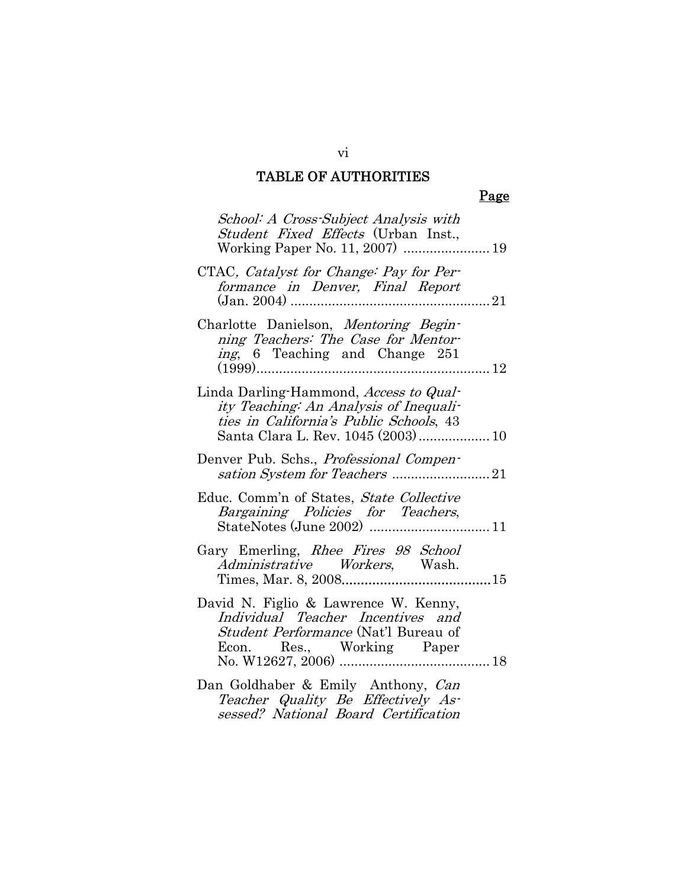## Page

| School: A Cross-Subject Analysis with<br>Student Fixed Effects (Urban Inst.,                                                                                      |  |
|-------------------------------------------------------------------------------------------------------------------------------------------------------------------|--|
| CTAC, Catalyst for Change: Pay for Per-<br>formance in Denver, Final Report                                                                                       |  |
| Charlotte Danielson, Mentoring Begin-<br>ning Teachers: The Case for Mentor-<br>ing, 6 Teaching and Change 251                                                    |  |
| Linda Darling-Hammond, Access to Qual-<br>ity Teaching: An Analysis of Inequali-<br>ties in California's Public Schools, 43<br>Santa Clara L. Rev. 1045 (2003) 10 |  |
| Denver Pub. Schs., <i>Professional Compen-</i>                                                                                                                    |  |
| Educ. Comm'n of States, State Collective<br>Bargaining Policies for Teachers,                                                                                     |  |
| Gary Emerling, Rhee Fires 98 School<br>Administrative Workers, Wash.                                                                                              |  |
| David N. Figlio & Lawrence W. Kenny,<br>Individual Teacher Incentives and<br><i>Student Performance</i> (Nat'l Bureau of                                          |  |
| Dan Goldhaber & Emily Anthony, Can<br>Teacher Quality Be Effectively As-<br>sessed? National Board Certification                                                  |  |

#### vi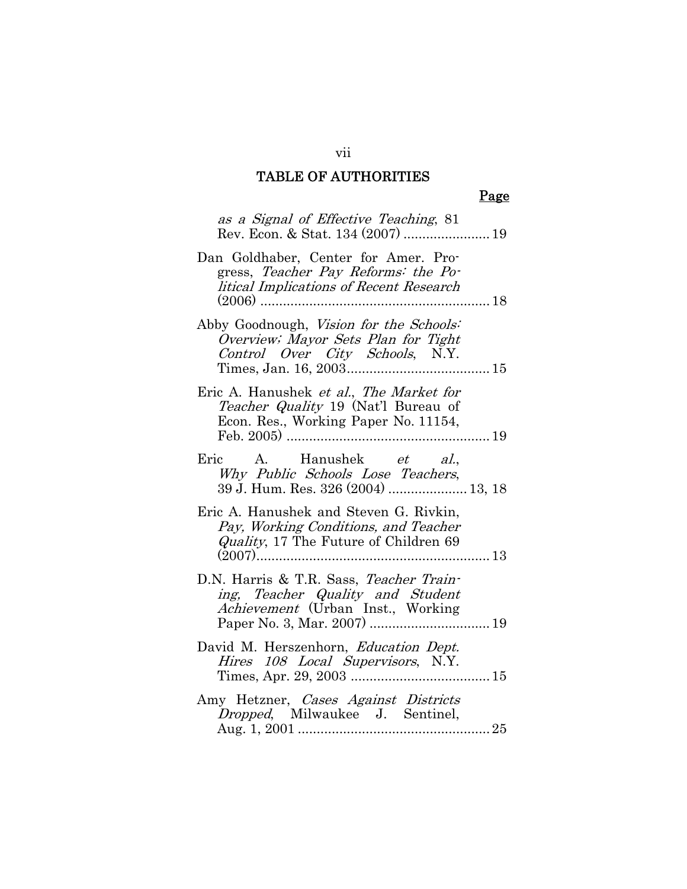## Page

| as a Signal of Effective Teaching, 81                                                                                                      |  |
|--------------------------------------------------------------------------------------------------------------------------------------------|--|
| Dan Goldhaber, Center for Amer. Pro-<br>gress, Teacher Pay Reforms: the Po-<br>litical Implications of Recent Research<br>$(2006)$<br>. 18 |  |
| Abby Goodnough, Vision for the Schools:<br>Overview; Mayor Sets Plan for Tight<br>Control Over City Schools, N.Y.                          |  |
| Eric A. Hanushek et al., The Market for<br>Teacher Quality 19 (Nat'l Bureau of<br>Econ. Res., Working Paper No. 11154,                     |  |
| Eric A. Hanushek <i>et al.</i> ,<br>Why Public Schools Lose Teachers,<br>39 J. Hum. Res. 326 (2004)  13, 18                                |  |
| Eric A. Hanushek and Steven G. Rivkin,<br>Pay, Working Conditions, and Teacher<br><i>Quality</i> , 17 The Future of Children 69            |  |
| D.N. Harris & T.R. Sass, Teacher Train-<br>ing, Teacher Quality and Student<br>Achievement (Urban Inst., Working                           |  |
| David M. Herszenhorn, Education Dept.<br>Hires 108 Local Supervisors, N.Y.                                                                 |  |
| Amy Hetzner, Cases Against Districts<br><i>Dropped</i> , Milwaukee J. Sentinel,                                                            |  |

vii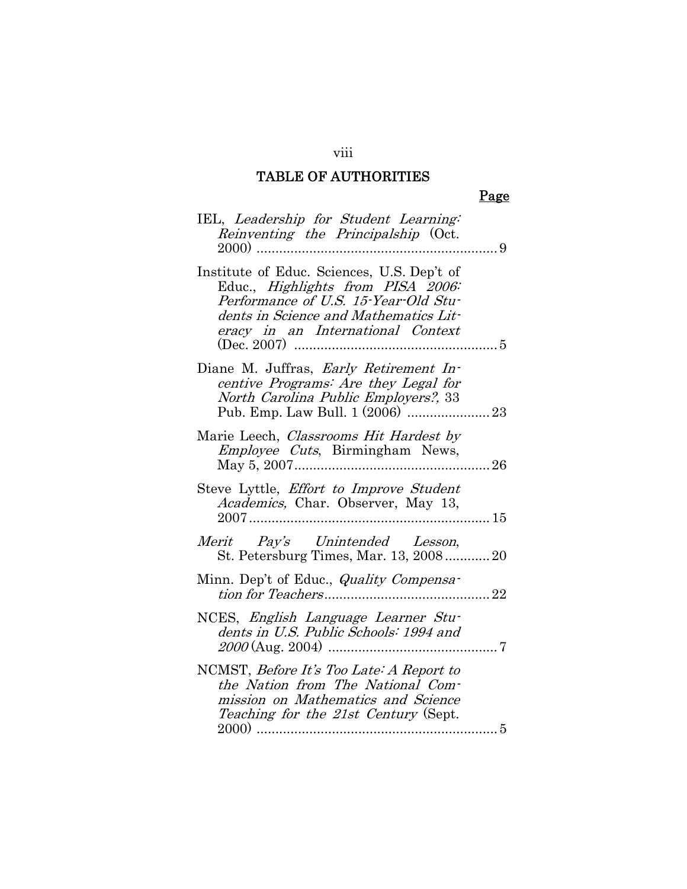## Page

| IEL, Leadership for Student Learning:<br>Reinventing the Principalship (Oct.                                                                                                                          |
|-------------------------------------------------------------------------------------------------------------------------------------------------------------------------------------------------------|
| Institute of Educ. Sciences, U.S. Dep't of<br>Educ., Highlights from PISA 2006:<br>Performance of U.S. 15-Year-Old Stu-<br>dents in Science and Mathematics Lit-<br>eracy in an International Context |
| Diane M. Juffras, Early Retirement In-<br>centive Programs: Are they Legal for<br>North Carolina Public Employers?, 33                                                                                |
| Marie Leech, Classrooms Hit Hardest by<br><i>Employee Cuts</i> , Birmingham News,                                                                                                                     |
| Steve Lyttle, <i>Effort to Improve Student</i><br>Academics, Char. Observer, May 13,                                                                                                                  |
| Merit Pay's Unintended Lesson,<br>St. Petersburg Times, Mar. 13, 2008 20                                                                                                                              |
| Minn. Dep't of Educ., <i>Quality Compensa</i>                                                                                                                                                         |
| NCES, <i>English Language Learner Stu-</i><br>dents in U.S. Public Schools: 1994 and                                                                                                                  |
| NCMST, Before It's Too Late: A Report to<br>the Nation from The National Com-<br>mission on Mathematics and Science<br>Teaching for the 21st Century (Sept.                                           |

viii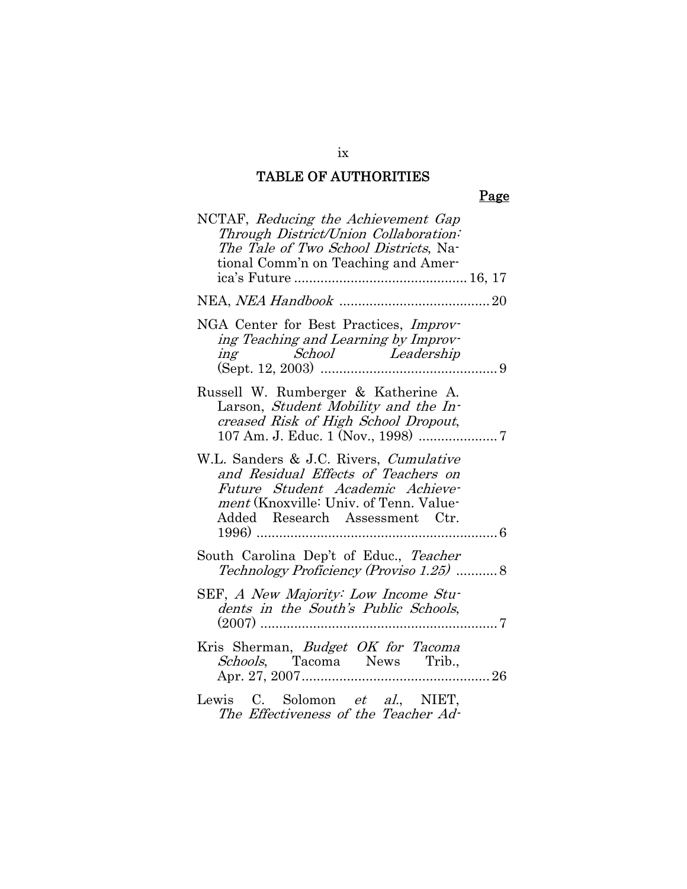## Page

| NCTAF, Reducing the Achievement Gap<br>Through District/Union Collaboration:<br>The Tale of Two School Districts, Na-<br>tional Comm'n on Teaching and Amer-                                  |
|-----------------------------------------------------------------------------------------------------------------------------------------------------------------------------------------------|
|                                                                                                                                                                                               |
| NGA Center for Best Practices, Improv-<br>ing Teaching and Learning by Improv-<br><i>ing School Leadership</i>                                                                                |
| Russell W. Rumberger & Katherine A.<br>Larson, Student Mobility and the In-<br>creased Risk of High School Dropout,                                                                           |
| W.L. Sanders & J.C. Rivers, Cumulative<br>and Residual Effects of Teachers on<br>Future Student Academic Achieve-<br>ment (Knoxville: Univ. of Tenn. Value-<br>Added Research Assessment Ctr. |
| South Carolina Dep't of Educ., Teacher<br>Technology Proficiency (Proviso 1.25) 8                                                                                                             |
| SEF, A New Majority: Low Income Stu-<br>dents in the South's Public Schools,                                                                                                                  |
| Kris Sherman, Budget OK for Tacoma<br><i>Schools</i> , Tacoma News Trib.,                                                                                                                     |
| Lewis C. Solomon et al., NIET,<br>The Effectiveness of the Teacher Ad-                                                                                                                        |

ix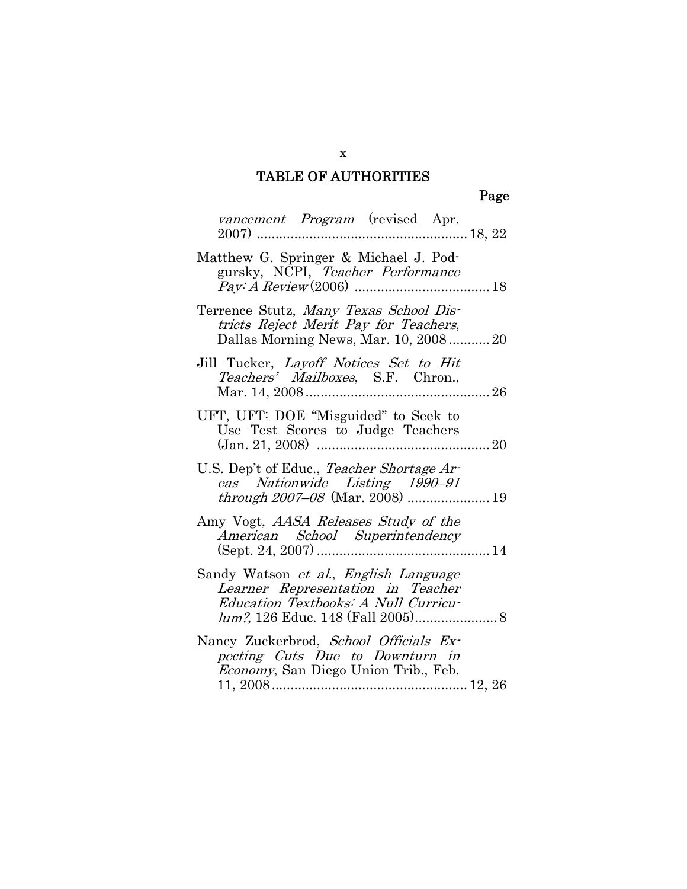## Page

| <i>vancement Program</i> (revised Apr.                                                                                                               |
|------------------------------------------------------------------------------------------------------------------------------------------------------|
| Matthew G. Springer & Michael J. Pod-<br>gursky, NCPI, Teacher Performance                                                                           |
| Terrence Stutz, Many Texas School Dis-<br>tricts Reject Merit Pay for Teachers,<br>Dallas Morning News, Mar. 10, 2008 20                             |
| Jill Tucker, <i>Layoff Notices Set to Hit</i><br>Teachers' Mailboxes, S.F. Chron.,                                                                   |
| UFT, UFT: DOE "Misguided" to Seek to<br>Use Test Scores to Judge Teachers                                                                            |
| U.S. Dep't of Educ., Teacher Shortage Ar-<br>eas Nationwide Listing 1990–91                                                                          |
| Amy Vogt, <i>AASA Releases Study of the</i><br>American School Superintendency                                                                       |
| Sandy Watson <i>et al., English Language</i><br>Learner Representation in Teacher<br>Education Textbooks: A Null Curricu-                            |
| Nancy Zuckerbrod, School Officials Ex-<br>pecting Cuts Due to Downturn in<br><i>Economy</i> , San Diego Union Trib., Feb.<br>$11, 2008 \dots 12, 26$ |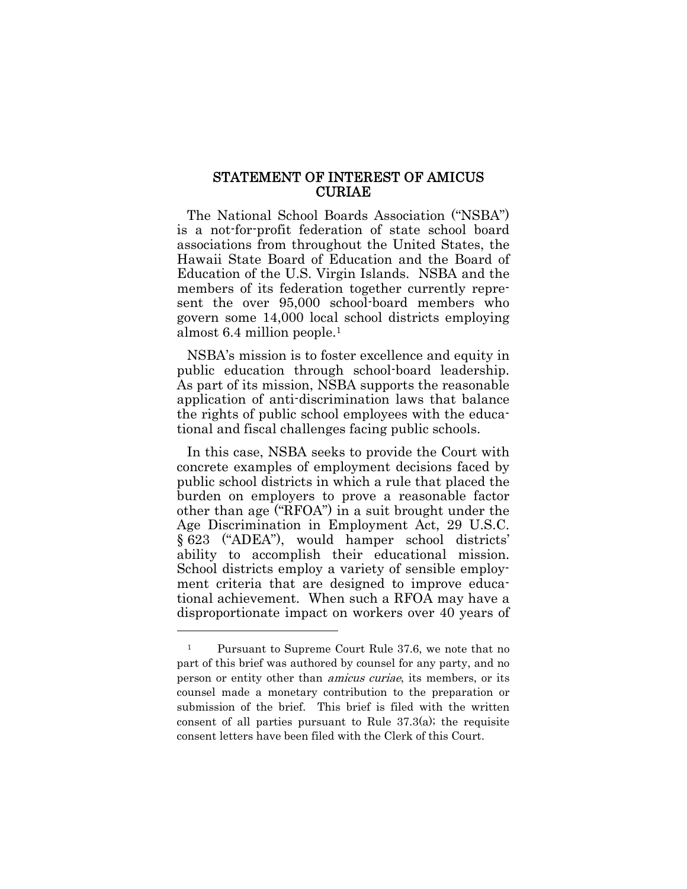#### STATEMENT OF INTEREST OF AMICUS CURIAE

The National School Boards Association ("NSBA") is a not-for-profit federation of state school board associations from throughout the United States, the Hawaii State Board of Education and the Board of Education of the U.S. Virgin Islands. NSBA and the members of its federation together currently represent the over 95,000 school-board members who govern some 14,000 local school districts employing almost 6.4 million people.1

NSBA's mission is to foster excellence and equity in public education through school-board leadership. As part of its mission, NSBA supports the reasonable application of anti-discrimination laws that balance the rights of public school employees with the educational and fiscal challenges facing public schools.

In this case, NSBA seeks to provide the Court with concrete examples of employment decisions faced by public school districts in which a rule that placed the burden on employers to prove a reasonable factor other than age ("RFOA") in a suit brought under the Age Discrimination in Employment Act, 29 U.S.C. § 623 ("ADEA"), would hamper school districts' ability to accomplish their educational mission. School districts employ a variety of sensible employment criteria that are designed to improve educational achievement. When such a RFOA may have a disproportionate impact on workers over 40 years of

l

<sup>1</sup> Pursuant to Supreme Court Rule 37.6, we note that no part of this brief was authored by counsel for any party, and no person or entity other than amicus curiae, its members, or its counsel made a monetary contribution to the preparation or submission of the brief. This brief is filed with the written consent of all parties pursuant to Rule  $37.3(a)$ ; the requisite consent letters have been filed with the Clerk of this Court.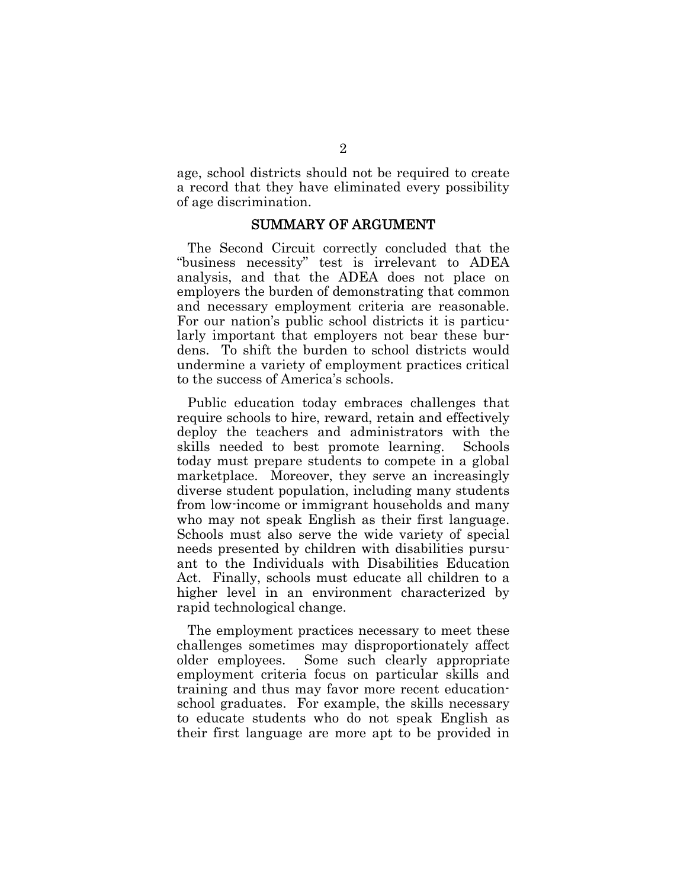age, school districts should not be required to create a record that they have eliminated every possibility of age discrimination.

#### SUMMARY OF ARGUMENT

The Second Circuit correctly concluded that the "business necessity" test is irrelevant to ADEA analysis, and that the ADEA does not place on employers the burden of demonstrating that common and necessary employment criteria are reasonable. For our nation's public school districts it is particularly important that employers not bear these burdens. To shift the burden to school districts would undermine a variety of employment practices critical to the success of America's schools.

Public education today embraces challenges that require schools to hire, reward, retain and effectively deploy the teachers and administrators with the skills needed to best promote learning. Schools today must prepare students to compete in a global marketplace. Moreover, they serve an increasingly diverse student population, including many students from low-income or immigrant households and many who may not speak English as their first language. Schools must also serve the wide variety of special needs presented by children with disabilities pursuant to the Individuals with Disabilities Education Act. Finally, schools must educate all children to a higher level in an environment characterized by rapid technological change.

The employment practices necessary to meet these challenges sometimes may disproportionately affect older employees. Some such clearly appropriate employment criteria focus on particular skills and training and thus may favor more recent educationschool graduates. For example, the skills necessary to educate students who do not speak English as their first language are more apt to be provided in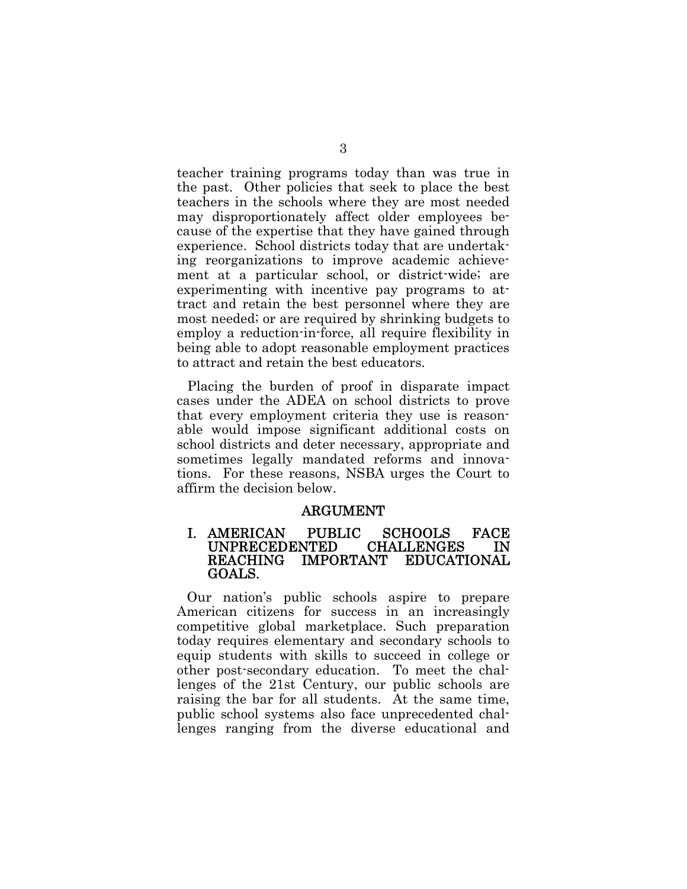teacher training programs today than was true in the past. Other policies that seek to place the best teachers in the schools where they are most needed may disproportionately affect older employees because of the expertise that they have gained through experience. School districts today that are undertaking reorganizations to improve academic achievement at a particular school, or district-wide; are experimenting with incentive pay programs to attract and retain the best personnel where they are most needed; or are required by shrinking budgets to employ a reduction-in-force, all require flexibility in being able to adopt reasonable employment practices to attract and retain the best educators.

Placing the burden of proof in disparate impact cases under the ADEA on school districts to prove that every employment criteria they use is reasonable would impose significant additional costs on school districts and deter necessary, appropriate and sometimes legally mandated reforms and innovations. For these reasons, NSBA urges the Court to affirm the decision below.

#### ARGUMENT

#### I. AMERICAN PUBLIC SCHOOLS FACE UNPRECEDENTED CHALLENGES IN REACHING IMPORTANT EDUCATIONAL GOALS.

Our nation's public schools aspire to prepare American citizens for success in an increasingly competitive global marketplace. Such preparation today requires elementary and secondary schools to equip students with skills to succeed in college or other post-secondary education. To meet the challenges of the 21st Century, our public schools are raising the bar for all students. At the same time, public school systems also face unprecedented challenges ranging from the diverse educational and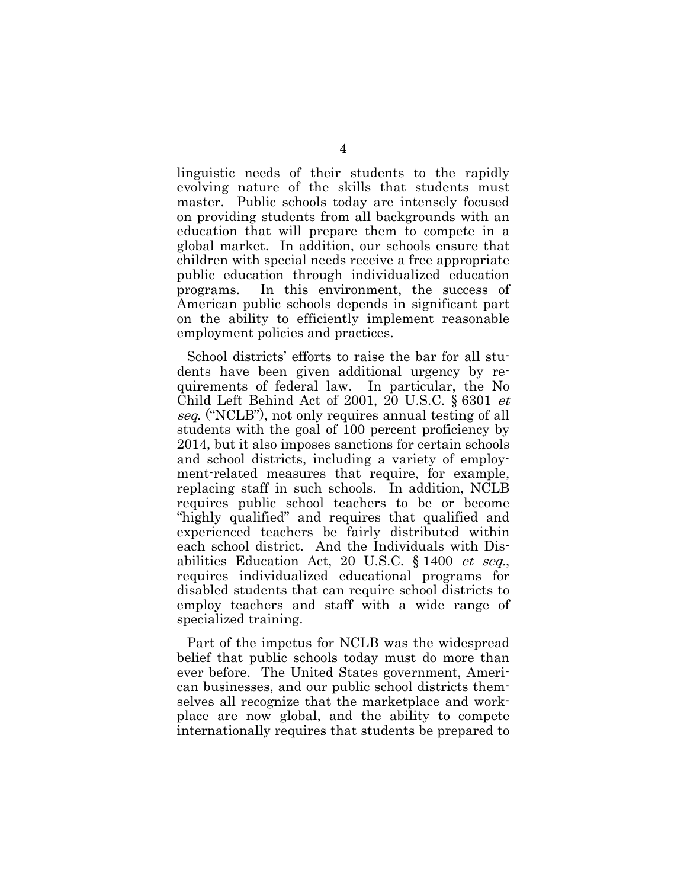linguistic needs of their students to the rapidly evolving nature of the skills that students must master. Public schools today are intensely focused on providing students from all backgrounds with an education that will prepare them to compete in a global market. In addition, our schools ensure that children with special needs receive a free appropriate public education through individualized education programs. In this environment, the success of American public schools depends in significant part on the ability to efficiently implement reasonable employment policies and practices.

School districts' efforts to raise the bar for all students have been given additional urgency by requirements of federal law. In particular, the No Child Left Behind Act of 2001, 20 U.S.C. § 6301 et seq. ("NCLB"), not only requires annual testing of all students with the goal of 100 percent proficiency by 2014, but it also imposes sanctions for certain schools and school districts, including a variety of employment-related measures that require, for example, replacing staff in such schools. In addition, NCLB requires public school teachers to be or become "highly qualified" and requires that qualified and experienced teachers be fairly distributed within each school district. And the Individuals with Disabilities Education Act, 20 U.S.C. § 1400 et seq., requires individualized educational programs for disabled students that can require school districts to employ teachers and staff with a wide range of specialized training.

Part of the impetus for NCLB was the widespread belief that public schools today must do more than ever before. The United States government, American businesses, and our public school districts themselves all recognize that the marketplace and workplace are now global, and the ability to compete internationally requires that students be prepared to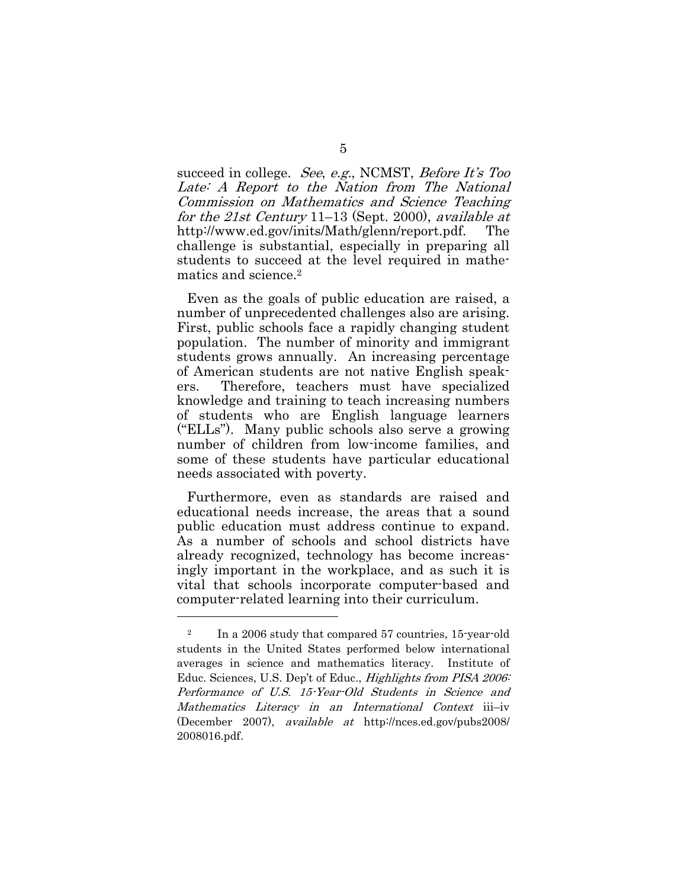succeed in college. See, e.g., NCMST, Before It's Too Late: A Report to the Nation from The National Commission on Mathematics and Science Teaching for the 21st Century 11–13 (Sept. 2000), available at http://www.ed.gov/inits/Math/glenn/report.pdf. The challenge is substantial, especially in preparing all students to succeed at the level required in mathematics and science.2

Even as the goals of public education are raised, a number of unprecedented challenges also are arising. First, public schools face a rapidly changing student population. The number of minority and immigrant students grows annually. An increasing percentage of American students are not native English speakers. Therefore, teachers must have specialized knowledge and training to teach increasing numbers of students who are English language learners ("ELLs"). Many public schools also serve a growing number of children from low-income families, and some of these students have particular educational needs associated with poverty.

Furthermore, even as standards are raised and educational needs increase, the areas that a sound public education must address continue to expand. As a number of schools and school districts have already recognized, technology has become increasingly important in the workplace, and as such it is vital that schools incorporate computer-based and computer-related learning into their curriculum.

<sup>&</sup>lt;sup>2</sup> In a 2006 study that compared 57 countries, 15-year-old students in the United States performed below international averages in science and mathematics literacy. Institute of Educ. Sciences, U.S. Dep't of Educ., Highlights from PISA 2006: Performance of U.S. 15-Year-Old Students in Science and Mathematics Literacy in an International Context iii–iv (December 2007), available at http://nces.ed.gov/pubs2008/ 2008016.pdf.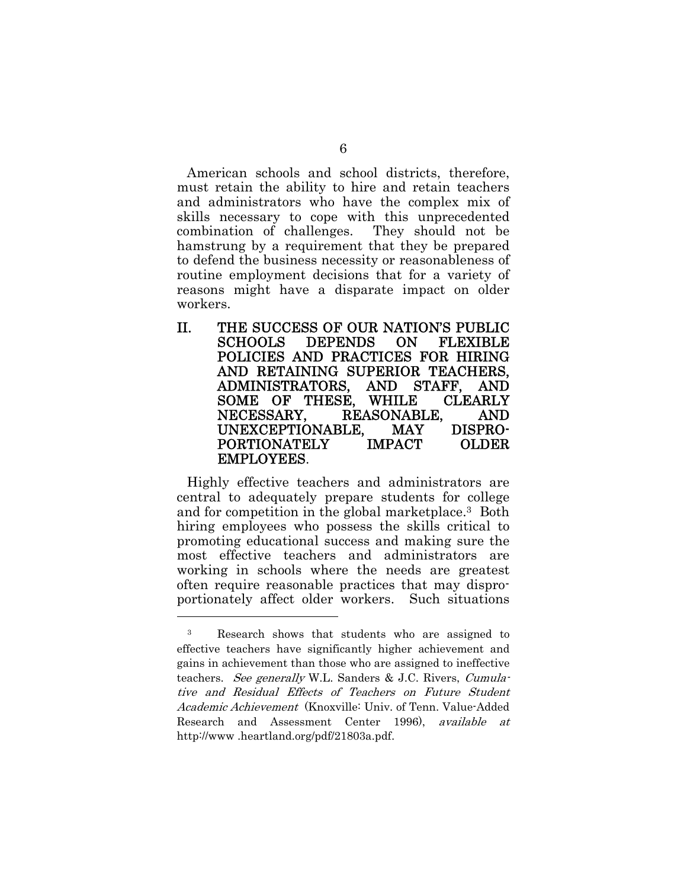American schools and school districts, therefore, must retain the ability to hire and retain teachers and administrators who have the complex mix of skills necessary to cope with this unprecedented combination of challenges. They should not be hamstrung by a requirement that they be prepared to defend the business necessity or reasonableness of routine employment decisions that for a variety of reasons might have a disparate impact on older workers.

II. THE SUCCESS OF OUR NATION'S PUBLIC SCHOOLS DEPENDS ON FLEXIBLE POLICIES AND PRACTICES FOR HIRING AND RETAINING SUPERIOR TEACHERS, ADMINISTRATORS, AND STAFF, AND SOME OF THESE, WHILE CLEARLY NECESSARY, REASONABLE, AND UNEXCEPTIONABLE, MAY DISPRO-PORTIONATELY IMPACT OLDER EMPLOYEES.

Highly effective teachers and administrators are central to adequately prepare students for college and for competition in the global marketplace.3 Both hiring employees who possess the skills critical to promoting educational success and making sure the most effective teachers and administrators are working in schools where the needs are greatest often require reasonable practices that may disproportionately affect older workers. Such situations

<sup>3</sup> Research shows that students who are assigned to effective teachers have significantly higher achievement and gains in achievement than those who are assigned to ineffective teachers. See generally W.L. Sanders & J.C. Rivers, Cumulative and Residual Effects of Teachers on Future Student Academic Achievement (Knoxville: Univ. of Tenn. Value-Added Research and Assessment Center 1996), available at http://www .heartland.org/pdf/21803a.pdf.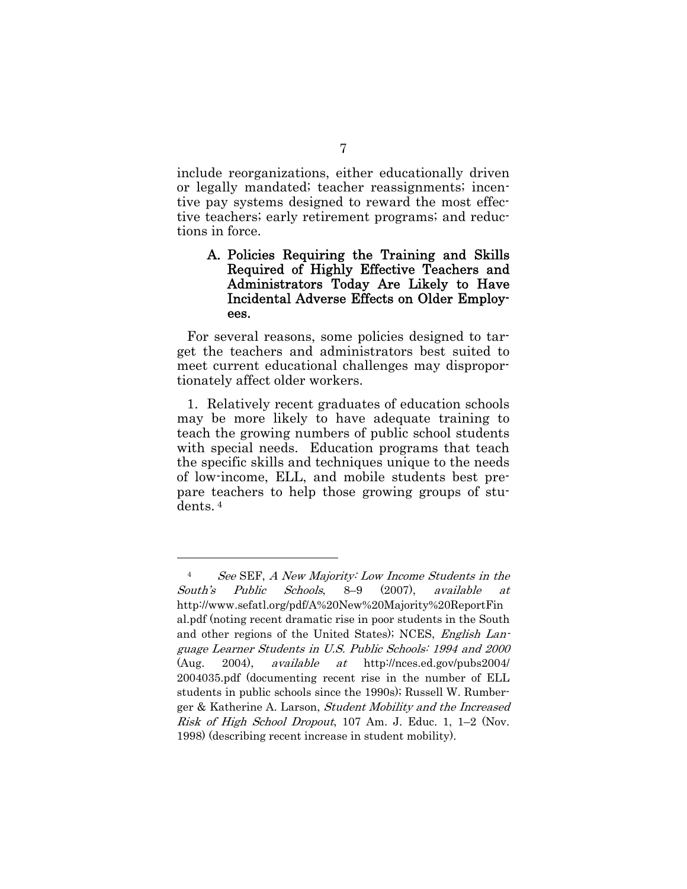include reorganizations, either educationally driven or legally mandated; teacher reassignments; incentive pay systems designed to reward the most effective teachers; early retirement programs; and reductions in force.

#### A. Policies Requiring the Training and Skills Required of Highly Effective Teachers and Administrators Today Are Likely to Have Incidental Adverse Effects on Older Employees.

For several reasons, some policies designed to target the teachers and administrators best suited to meet current educational challenges may disproportionately affect older workers.

1. Relatively recent graduates of education schools may be more likely to have adequate training to teach the growing numbers of public school students with special needs. Education programs that teach the specific skills and techniques unique to the needs of low-income, ELL, and mobile students best prepare teachers to help those growing groups of students. 4

l

<sup>4</sup> See SEF, A New Majority: Low Income Students in the South's Public Schools, 8–9 (2007), available at http://www.sefatl.org/pdf/A%20New%20Majority%20ReportFin al.pdf (noting recent dramatic rise in poor students in the South and other regions of the United States); NCES, *English Lan*guage Learner Students in U.S. Public Schools: 1994 and 2000 (Aug. 2004), available at http://nces.ed.gov/pubs2004/ 2004035.pdf (documenting recent rise in the number of ELL students in public schools since the 1990s); Russell W. Rumberger & Katherine A. Larson, Student Mobility and the Increased Risk of High School Dropout, 107 Am. J. Educ. 1, 1–2 (Nov. 1998) (describing recent increase in student mobility).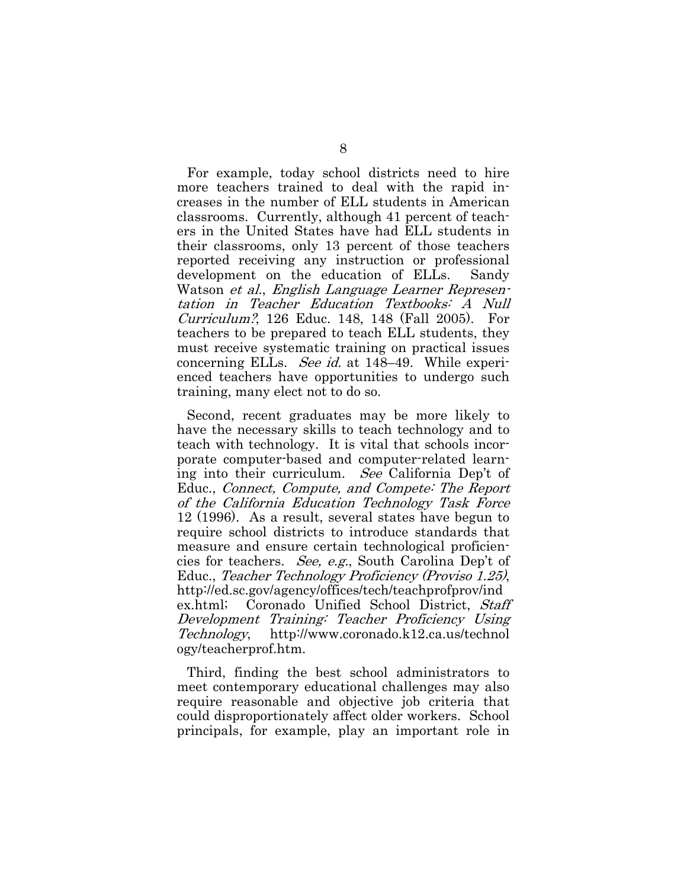For example, today school districts need to hire more teachers trained to deal with the rapid increases in the number of ELL students in American classrooms. Currently, although 41 percent of teachers in the United States have had ELL students in their classrooms, only 13 percent of those teachers reported receiving any instruction or professional development on the education of ELLs. Sandy Watson et al., English Language Learner Representation in Teacher Education Textbooks: A Null Curriculum?, 126 Educ. 148, 148 (Fall 2005). For teachers to be prepared to teach ELL students, they must receive systematic training on practical issues concerning ELLs. See id. at 148–49. While experienced teachers have opportunities to undergo such training, many elect not to do so.

Second, recent graduates may be more likely to have the necessary skills to teach technology and to teach with technology. It is vital that schools incorporate computer-based and computer-related learning into their curriculum. See California Dep't of Educ., Connect, Compute, and Compete: The Report of the California Education Technology Task Force 12 (1996). As a result, several states have begun to require school districts to introduce standards that measure and ensure certain technological proficiencies for teachers. See, e.g., South Carolina Dep't of Educ., Teacher Technology Proficiency (Proviso 1.25), http://ed.sc.gov/agency/offices/tech/teachprofprov/ind ex.html; Coronado Unified School District, Staff Development Training: Teacher Proficiency Using Technology, http://www.coronado.k12.ca.us/technol ogy/teacherprof.htm.

Third, finding the best school administrators to meet contemporary educational challenges may also require reasonable and objective job criteria that could disproportionately affect older workers. School principals, for example, play an important role in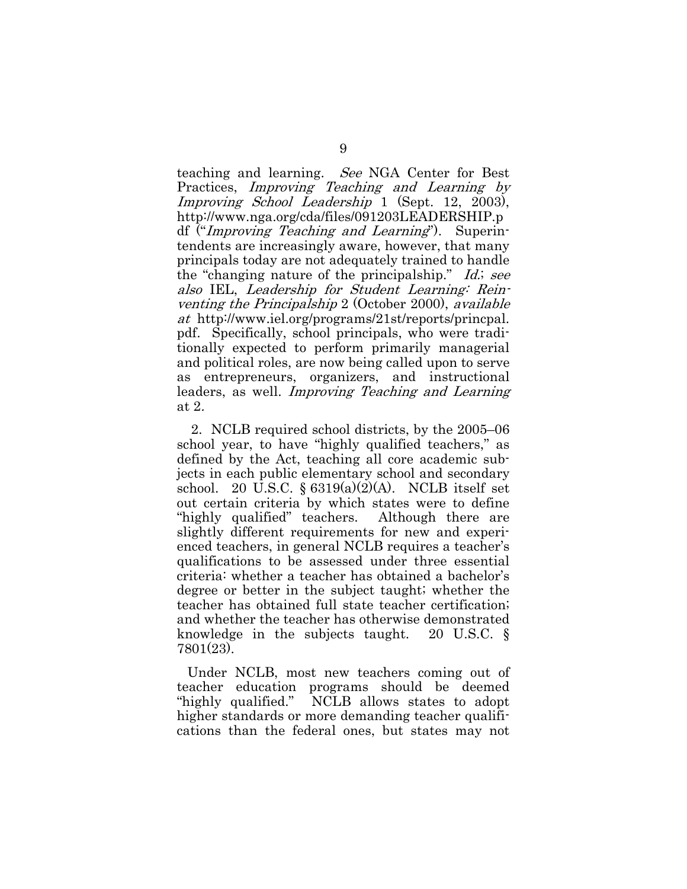teaching and learning. See NGA Center for Best Practices, Improving Teaching and Learning by Improving School Leadership 1 (Sept. 12, 2003), http://www.nga.org/cda/files/091203LEADERSHIP.p df ("Improving Teaching and Learning"). Superintendents are increasingly aware, however, that many principals today are not adequately trained to handle the "changing nature of the principalship." Id.; see also IEL, Leadership for Student Learning: Reinventing the Principalship 2 (October 2000), available at http://www.iel.org/programs/21st/reports/princpal. pdf. Specifically, school principals, who were traditionally expected to perform primarily managerial and political roles, are now being called upon to serve as entrepreneurs, organizers, and instructional leaders, as well. Improving Teaching and Learning at 2.

 2. NCLB required school districts, by the 2005–06 school year, to have "highly qualified teachers," as defined by the Act, teaching all core academic subjects in each public elementary school and secondary school. 20 U.S.C.  $\frac{$8319(a)(2)(A)}{A}$ . NCLB itself set out certain criteria by which states were to define "highly qualified" teachers. Although there are slightly different requirements for new and experienced teachers, in general NCLB requires a teacher's qualifications to be assessed under three essential criteria: whether a teacher has obtained a bachelor's degree or better in the subject taught; whether the teacher has obtained full state teacher certification; and whether the teacher has otherwise demonstrated knowledge in the subjects taught. 20 U.S.C. § 7801(23).

Under NCLB, most new teachers coming out of teacher education programs should be deemed "highly qualified." NCLB allows states to adopt higher standards or more demanding teacher qualifications than the federal ones, but states may not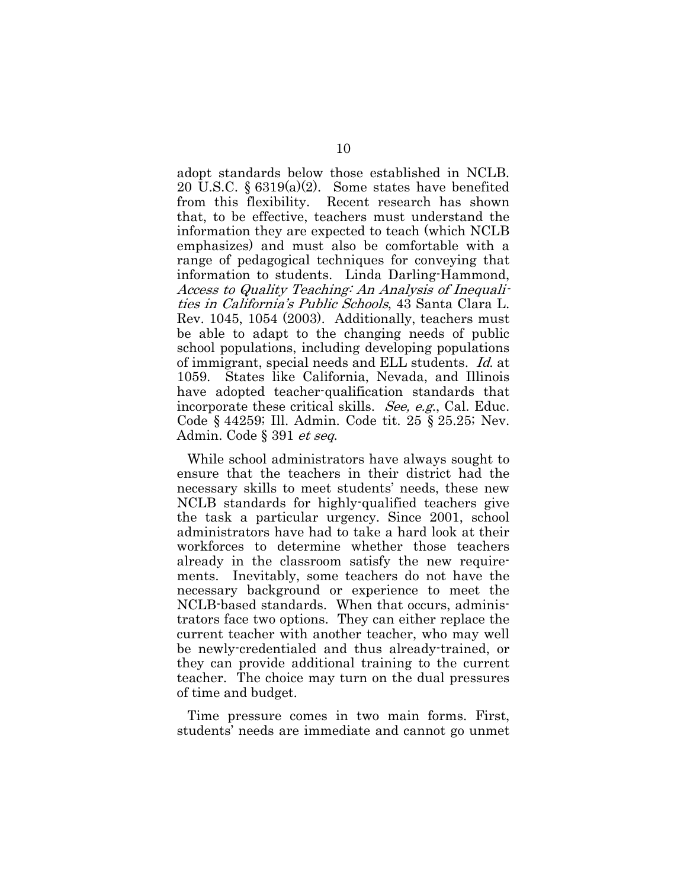adopt standards below those established in NCLB. 20 U.S.C.  $\S 6319(a)(2)$ . Some states have benefited from this flexibility. Recent research has shown that, to be effective, teachers must understand the information they are expected to teach (which NCLB emphasizes) and must also be comfortable with a range of pedagogical techniques for conveying that information to students. Linda Darling-Hammond, Access to Quality Teaching: An Analysis of Inequalities in California's Public Schools, 43 Santa Clara L. Rev. 1045, 1054 (2003). Additionally, teachers must be able to adapt to the changing needs of public school populations, including developing populations of immigrant, special needs and ELL students. Id. at 1059. States like California, Nevada, and Illinois have adopted teacher-qualification standards that incorporate these critical skills. See, e.g., Cal. Educ. Code § 44259; Ill. Admin. Code tit. 25 § 25.25; Nev. Admin. Code § 391 *et seq.* 

While school administrators have always sought to ensure that the teachers in their district had the necessary skills to meet students' needs, these new NCLB standards for highly-qualified teachers give the task a particular urgency. Since 2001, school administrators have had to take a hard look at their workforces to determine whether those teachers already in the classroom satisfy the new requirements. Inevitably, some teachers do not have the necessary background or experience to meet the NCLB-based standards. When that occurs, administrators face two options. They can either replace the current teacher with another teacher, who may well be newly-credentialed and thus already-trained, or they can provide additional training to the current teacher. The choice may turn on the dual pressures of time and budget.

Time pressure comes in two main forms. First, students' needs are immediate and cannot go unmet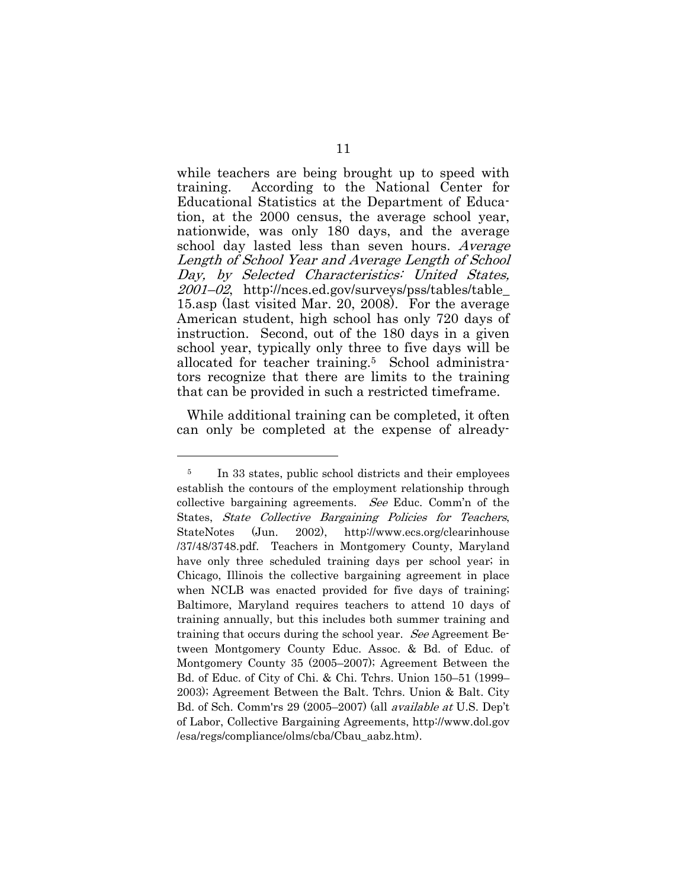while teachers are being brought up to speed with training. According to the National Center for Educational Statistics at the Department of Education, at the 2000 census, the average school year, nationwide, was only 180 days, and the average school day lasted less than seven hours. Average Length of School Year and Average Length of School Day, by Selected Characteristics: United States, 2001–02, http://nces.ed.gov/surveys/pss/tables/table\_ 15.asp (last visited Mar. 20, 2008). For the average American student, high school has only 720 days of instruction. Second, out of the 180 days in a given school year, typically only three to five days will be allocated for teacher training.5 School administrators recognize that there are limits to the training that can be provided in such a restricted timeframe.

While additional training can be completed, it often can only be completed at the expense of already-

l

<sup>&</sup>lt;sup>5</sup> In 33 states, public school districts and their employees establish the contours of the employment relationship through collective bargaining agreements. See Educ. Comm'n of the States, State Collective Bargaining Policies for Teachers, StateNotes (Jun. 2002), http://www.ecs.org/clearinhouse /37/48/3748.pdf. Teachers in Montgomery County, Maryland have only three scheduled training days per school year; in Chicago, Illinois the collective bargaining agreement in place when NCLB was enacted provided for five days of training; Baltimore, Maryland requires teachers to attend 10 days of training annually, but this includes both summer training and training that occurs during the school year. See Agreement Between Montgomery County Educ. Assoc. & Bd. of Educ. of Montgomery County 35 (2005–2007); Agreement Between the Bd. of Educ. of City of Chi. & Chi. Tchrs. Union 150–51 (1999– 2003); Agreement Between the Balt. Tchrs. Union & Balt. City Bd. of Sch. Comm'rs 29 (2005–2007) (all available at U.S. Dep't of Labor, Collective Bargaining Agreements, http://www.dol.gov /esa/regs/compliance/olms/cba/Cbau\_aabz.htm).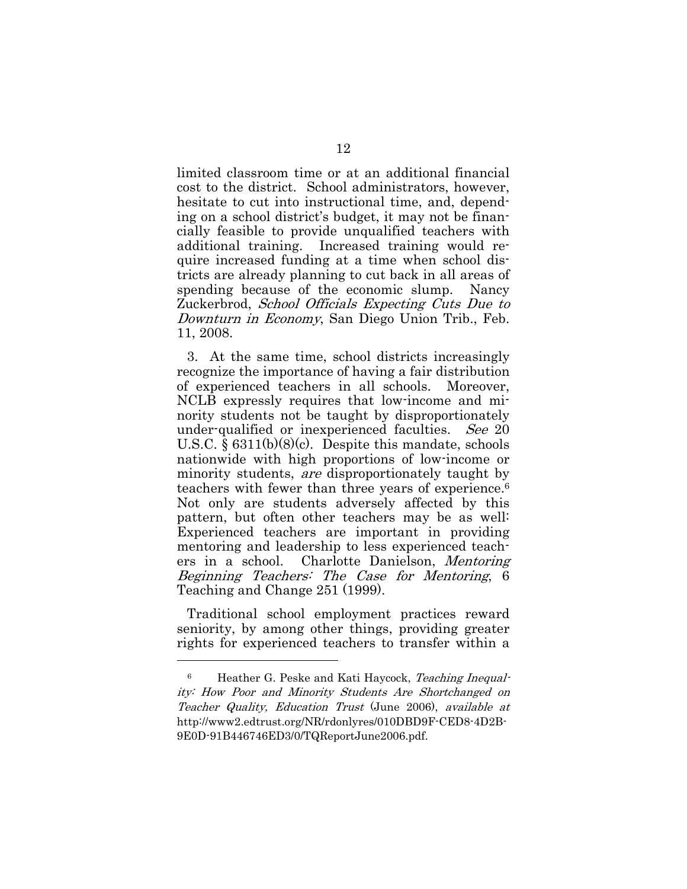limited classroom time or at an additional financial cost to the district. School administrators, however, hesitate to cut into instructional time, and, depending on a school district's budget, it may not be financially feasible to provide unqualified teachers with additional training. Increased training would require increased funding at a time when school districts are already planning to cut back in all areas of spending because of the economic slump. Nancy Zuckerbrod, School Officials Expecting Cuts Due to Downturn in Economy, San Diego Union Trib., Feb. 11, 2008.

3. At the same time, school districts increasingly recognize the importance of having a fair distribution of experienced teachers in all schools. Moreover, NCLB expressly requires that low-income and minority students not be taught by disproportionately under-qualified or inexperienced faculties. See 20 U.S.C. § 6311(b)(8)(c). Despite this mandate, schools nationwide with high proportions of low-income or minority students, are disproportionately taught by teachers with fewer than three years of experience.6 Not only are students adversely affected by this pattern, but often other teachers may be as well: Experienced teachers are important in providing mentoring and leadership to less experienced teachers in a school. Charlotte Danielson, Mentoring Beginning Teachers: The Case for Mentoring, 6 Teaching and Change 251 (1999).

Traditional school employment practices reward seniority, by among other things, providing greater rights for experienced teachers to transfer within a

<sup>6</sup> Heather G. Peske and Kati Haycock, Teaching Inequality: How Poor and Minority Students Are Shortchanged on Teacher Quality, Education Trust (June 2006), available at http://www2.edtrust.org/NR/rdonlyres/010DBD9F-CED8-4D2B-9E0D-91B446746ED3/0/TQReportJune2006.pdf.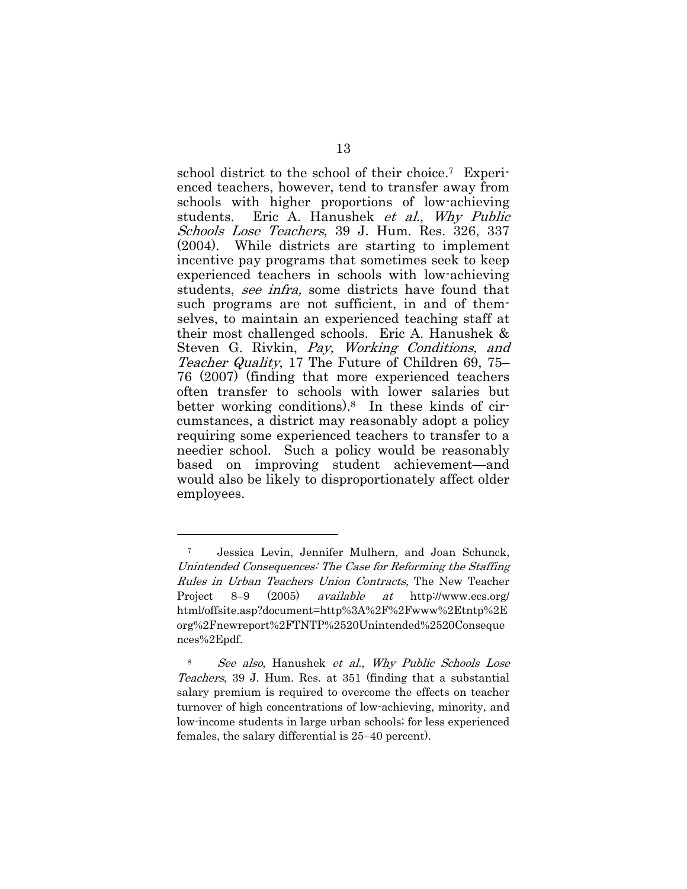school district to the school of their choice.7 Experienced teachers, however, tend to transfer away from schools with higher proportions of low-achieving students. Eric A. Hanushek *et al.*, Why Public Schools Lose Teachers, 39 J. Hum. Res. 326, 337 (2004). While districts are starting to implement incentive pay programs that sometimes seek to keep experienced teachers in schools with low-achieving students, see infra, some districts have found that such programs are not sufficient, in and of themselves, to maintain an experienced teaching staff at their most challenged schools. Eric A. Hanushek & Steven G. Rivkin, Pay, Working Conditions, and Teacher Quality, 17 The Future of Children 69, 75– 76 (2007) (finding that more experienced teachers often transfer to schools with lower salaries but better working conditions).8 In these kinds of circumstances, a district may reasonably adopt a policy requiring some experienced teachers to transfer to a needier school. Such a policy would be reasonably based on improving student achievement—and would also be likely to disproportionately affect older employees.

l

<sup>7</sup> Jessica Levin, Jennifer Mulhern, and Joan Schunck, Unintended Consequences: The Case for Reforming the Staffing Rules in Urban Teachers Union Contracts, The New Teacher Project 8–9 (2005) available at http://www.ecs.org/ html/offsite.asp?document=http%3A%2F%2Fwww%2Etntp%2E org%2Fnewreport%2FTNTP%2520Unintended%2520Conseque nces%2Epdf.

<sup>8</sup> See also, Hanushek et al., Why Public Schools Lose Teachers, 39 J. Hum. Res. at 351 (finding that a substantial salary premium is required to overcome the effects on teacher turnover of high concentrations of low-achieving, minority, and low-income students in large urban schools; for less experienced females, the salary differential is 25–40 percent).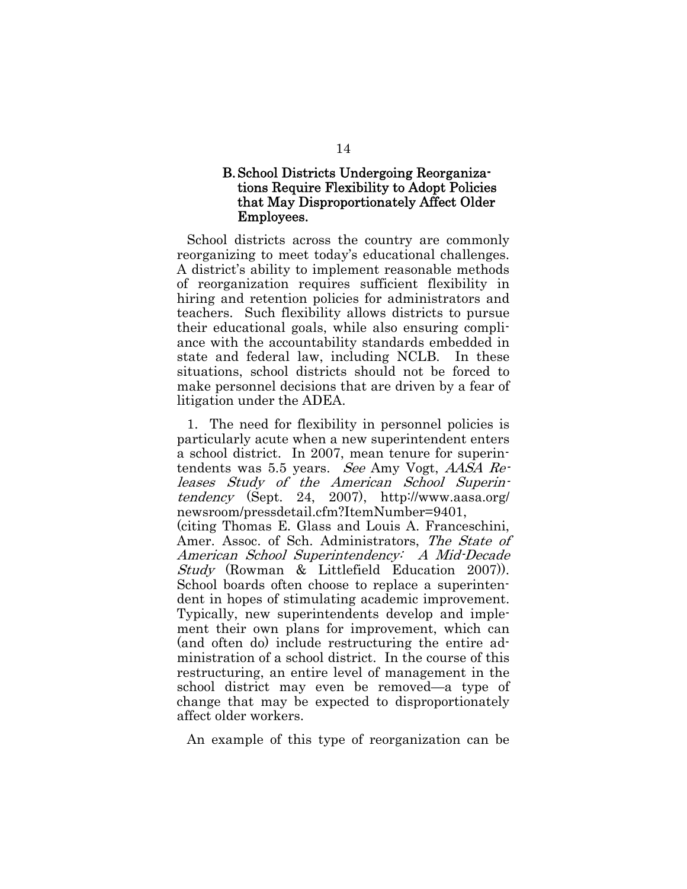#### B. School Districts Undergoing Reorganizations Require Flexibility to Adopt Policies that May Disproportionately Affect Older Employees.

School districts across the country are commonly reorganizing to meet today's educational challenges. A district's ability to implement reasonable methods of reorganization requires sufficient flexibility in hiring and retention policies for administrators and teachers. Such flexibility allows districts to pursue their educational goals, while also ensuring compliance with the accountability standards embedded in state and federal law, including NCLB. In these situations, school districts should not be forced to make personnel decisions that are driven by a fear of litigation under the ADEA.

1. The need for flexibility in personnel policies is particularly acute when a new superintendent enters a school district. In 2007, mean tenure for superintendents was 5.5 years. See Amy Vogt, AASA Releases Study of the American School Superintendency (Sept. 24, 2007), http://www.aasa.org/ newsroom/pressdetail.cfm?ItemNumber=9401, (citing Thomas E. Glass and Louis A. Franceschini, Amer. Assoc. of Sch. Administrators, The State of American School Superintendency: A Mid-Decade Study (Rowman & Littlefield Education 2007)). School boards often choose to replace a superintendent in hopes of stimulating academic improvement. Typically, new superintendents develop and implement their own plans for improvement, which can (and often do) include restructuring the entire ad-

ministration of a school district. In the course of this restructuring, an entire level of management in the school district may even be removed—a type of change that may be expected to disproportionately affect older workers.

An example of this type of reorganization can be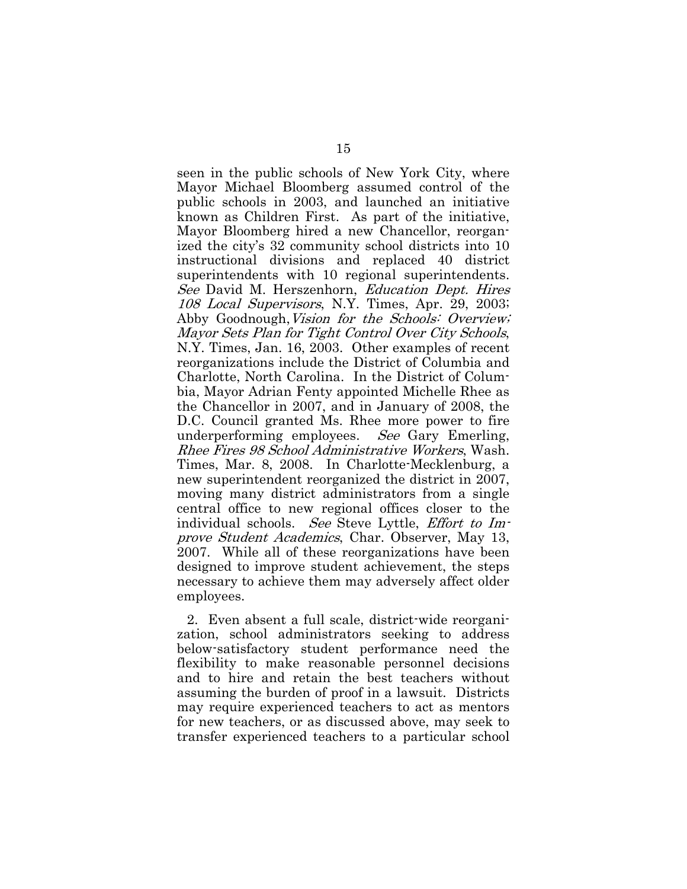seen in the public schools of New York City, where Mayor Michael Bloomberg assumed control of the public schools in 2003, and launched an initiative known as Children First. As part of the initiative, Mayor Bloomberg hired a new Chancellor, reorganized the city's 32 community school districts into 10 instructional divisions and replaced 40 district superintendents with 10 regional superintendents. See David M. Herszenhorn, Education Dept. Hires 108 Local Supervisors, N.Y. Times, Apr. 29, 2003; Abby Goodnough, Vision for the Schools: Overview; Mayor Sets Plan for Tight Control Over City Schools, N.Y. Times, Jan. 16, 2003. Other examples of recent reorganizations include the District of Columbia and Charlotte, North Carolina. In the District of Columbia, Mayor Adrian Fenty appointed Michelle Rhee as the Chancellor in 2007, and in January of 2008, the D.C. Council granted Ms. Rhee more power to fire underperforming employees. See Gary Emerling, Rhee Fires 98 School Administrative Workers, Wash. Times, Mar. 8, 2008. In Charlotte-Mecklenburg, a new superintendent reorganized the district in 2007, moving many district administrators from a single central office to new regional offices closer to the individual schools. See Steve Lyttle, Effort to Improve Student Academics, Char. Observer, May 13, 2007. While all of these reorganizations have been designed to improve student achievement, the steps necessary to achieve them may adversely affect older employees.

2. Even absent a full scale, district-wide reorganization, school administrators seeking to address below-satisfactory student performance need the flexibility to make reasonable personnel decisions and to hire and retain the best teachers without assuming the burden of proof in a lawsuit. Districts may require experienced teachers to act as mentors for new teachers, or as discussed above, may seek to transfer experienced teachers to a particular school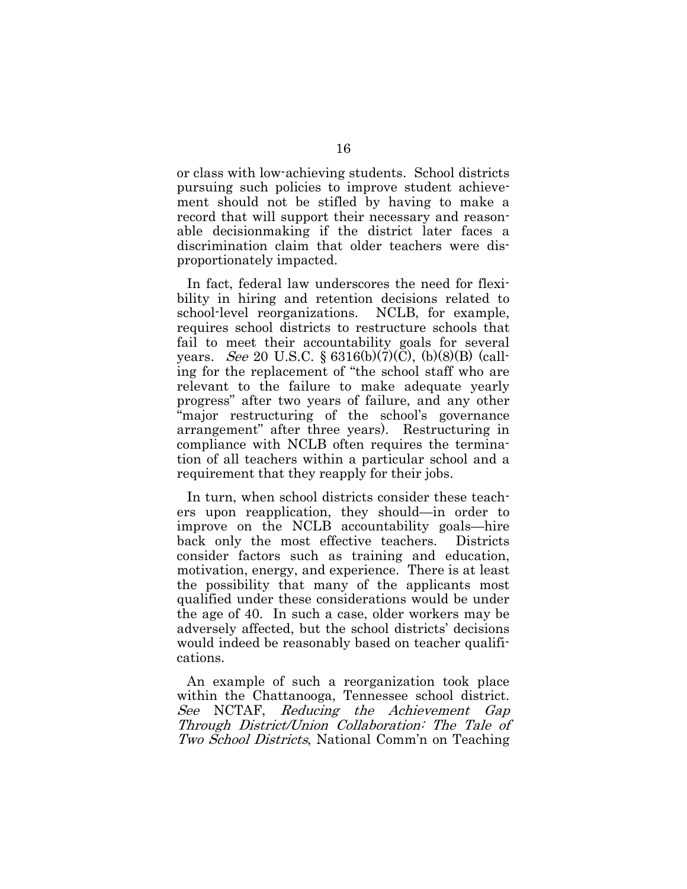or class with low-achieving students. School districts pursuing such policies to improve student achievement should not be stifled by having to make a record that will support their necessary and reasonable decisionmaking if the district later faces a discrimination claim that older teachers were disproportionately impacted.

In fact, federal law underscores the need for flexibility in hiring and retention decisions related to school-level reorganizations. NCLB, for example, requires school districts to restructure schools that fail to meet their accountability goals for several years. See 20 U.S.C. § 6316(b)(7)(C), (b)(8)(B) (calling for the replacement of "the school staff who are relevant to the failure to make adequate yearly progress" after two years of failure, and any other "major restructuring of the school's governance arrangement" after three years). Restructuring in compliance with NCLB often requires the termination of all teachers within a particular school and a requirement that they reapply for their jobs.

In turn, when school districts consider these teachers upon reapplication, they should—in order to improve on the NCLB accountability goals—hire back only the most effective teachers. Districts consider factors such as training and education, motivation, energy, and experience. There is at least the possibility that many of the applicants most qualified under these considerations would be under the age of 40. In such a case, older workers may be adversely affected, but the school districts' decisions would indeed be reasonably based on teacher qualifications.

An example of such a reorganization took place within the Chattanooga, Tennessee school district. See NCTAF, Reducing the Achievement Gap Through District/Union Collaboration: The Tale of Two School Districts, National Comm'n on Teaching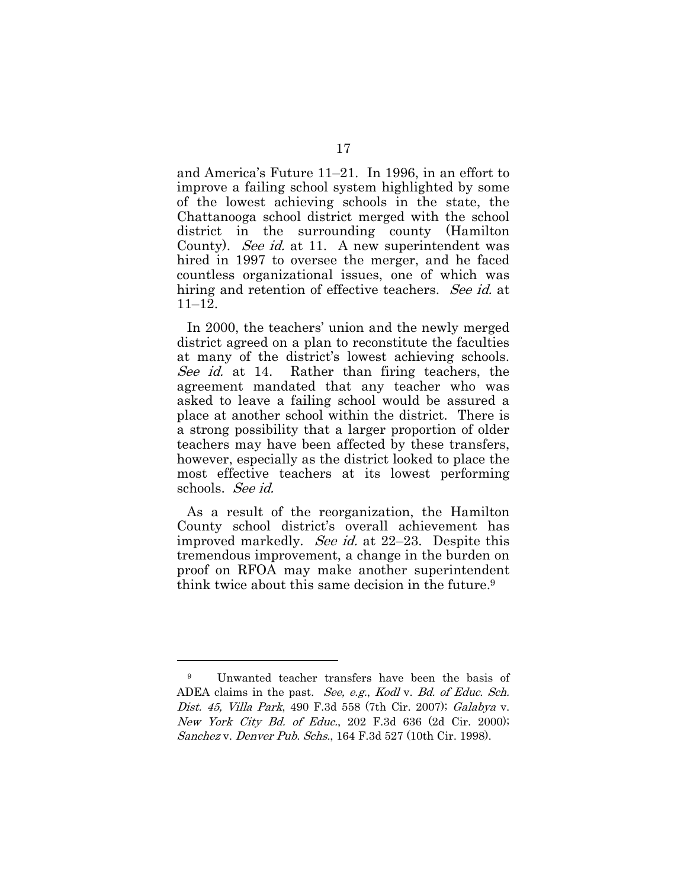and America's Future 11–21. In 1996, in an effort to improve a failing school system highlighted by some of the lowest achieving schools in the state, the Chattanooga school district merged with the school district in the surrounding county (Hamilton County). *See id.* at 11. A new superintendent was hired in 1997 to oversee the merger, and he faced countless organizational issues, one of which was hiring and retention of effective teachers. See id. at 11–12.

In 2000, the teachers' union and the newly merged district agreed on a plan to reconstitute the faculties at many of the district's lowest achieving schools. See id. at 14. Rather than firing teachers, the agreement mandated that any teacher who was asked to leave a failing school would be assured a place at another school within the district. There is a strong possibility that a larger proportion of older teachers may have been affected by these transfers, however, especially as the district looked to place the most effective teachers at its lowest performing schools. See id.

As a result of the reorganization, the Hamilton County school district's overall achievement has improved markedly. *See id.* at 22–23. Despite this tremendous improvement, a change in the burden on proof on RFOA may make another superintendent think twice about this same decision in the future.9

<sup>9</sup> Unwanted teacher transfers have been the basis of ADEA claims in the past. See, e.g., Kodl v. Bd. of Educ. Sch. Dist. 45, Villa Park, 490 F.3d 558 (7th Cir. 2007); Galabya v. New York City Bd. of Educ., 202 F.3d 636 (2d Cir. 2000); Sanchez v. Denver Pub. Schs., 164 F.3d 527 (10th Cir. 1998).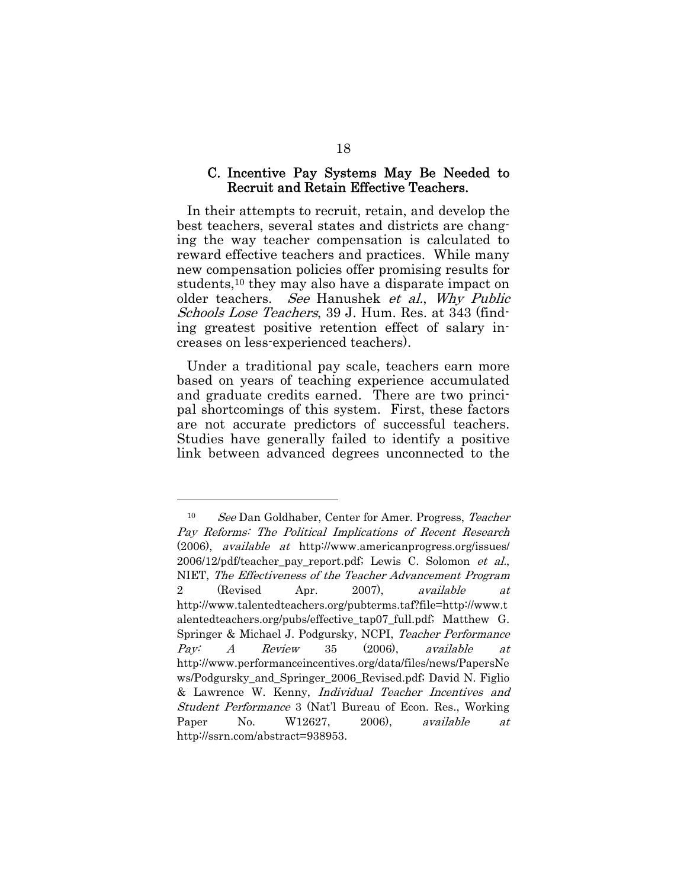#### C. Incentive Pay Systems May Be Needed to Recruit and Retain Effective Teachers.

In their attempts to recruit, retain, and develop the best teachers, several states and districts are changing the way teacher compensation is calculated to reward effective teachers and practices. While many new compensation policies offer promising results for students,10 they may also have a disparate impact on older teachers. See Hanushek et al., Why Public Schools Lose Teachers, 39 J. Hum. Res. at 343 (finding greatest positive retention effect of salary increases on less-experienced teachers).

Under a traditional pay scale, teachers earn more based on years of teaching experience accumulated and graduate credits earned. There are two principal shortcomings of this system. First, these factors are not accurate predictors of successful teachers. Studies have generally failed to identify a positive link between advanced degrees unconnected to the

l

<sup>10</sup> See Dan Goldhaber, Center for Amer. Progress, Teacher Pay Reforms: The Political Implications of Recent Research (2006), available at http://www.americanprogress.org/issues/ 2006/12/pdf/teacher\_pay\_report.pdf; Lewis C. Solomon et al., NIET, The Effectiveness of the Teacher Advancement Program 2 (Revised Apr. 2007), available at http://www.talentedteachers.org/pubterms.taf?file=http://www.t alentedteachers.org/pubs/effective\_tap07\_full.pdf; Matthew G. Springer & Michael J. Podgursky, NCPI, Teacher Performance Pay: A Review 35 (2006), available at http://www.performanceincentives.org/data/files/news/PapersNe ws/Podgursky\_and\_Springer\_2006\_Revised.pdf; David N. Figlio & Lawrence W. Kenny, Individual Teacher Incentives and Student Performance 3 (Nat'l Bureau of Econ. Res., Working Paper No. W12627, 2006), available at http://ssrn.com/abstract=938953.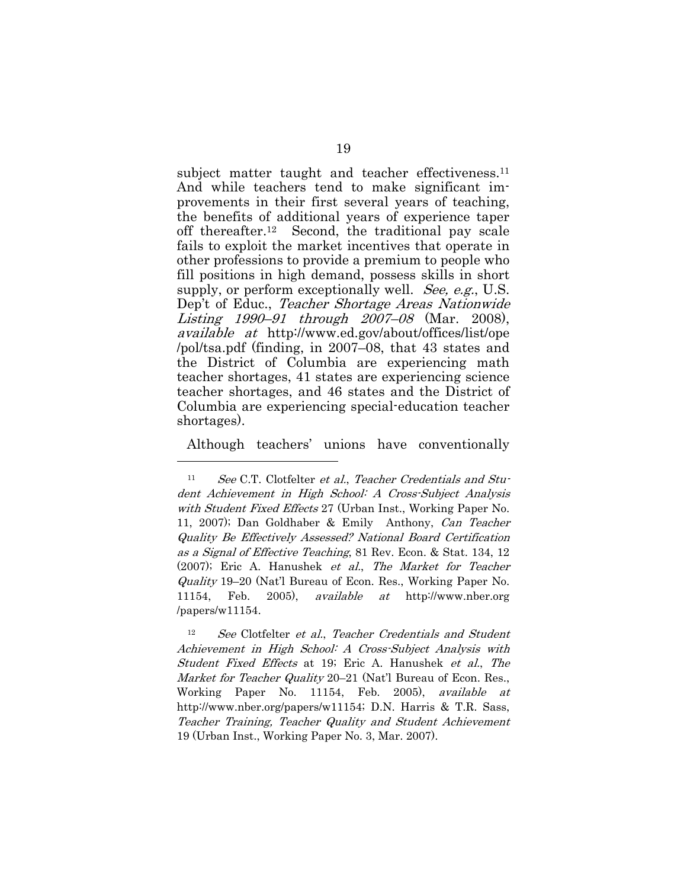subject matter taught and teacher effectiveness.<sup>11</sup> And while teachers tend to make significant improvements in their first several years of teaching, the benefits of additional years of experience taper off thereafter.12 Second, the traditional pay scale fails to exploit the market incentives that operate in other professions to provide a premium to people who fill positions in high demand, possess skills in short supply, or perform exceptionally well. *See, e.g.*, U.S. Dep't of Educ., Teacher Shortage Areas Nationwide Listing 1990–91 through 2007–08 (Mar. 2008), available at http://www.ed.gov/about/offices/list/ope /pol/tsa.pdf (finding, in 2007–08, that 43 states and the District of Columbia are experiencing math teacher shortages, 41 states are experiencing science teacher shortages, and 46 states and the District of Columbia are experiencing special-education teacher shortages).

Although teachers' unions have conventionally

<sup>11</sup> See C.T. Clotfelter et al., Teacher Credentials and Student Achievement in High School: A Cross-Subject Analysis with Student Fixed Effects 27 (Urban Inst., Working Paper No. 11, 2007); Dan Goldhaber & Emily Anthony, Can Teacher Quality Be Effectively Assessed? National Board Certification as a Signal of Effective Teaching, 81 Rev. Econ. & Stat. 134, 12 (2007); Eric A. Hanushek et al., The Market for Teacher Quality 19–20 (Nat'l Bureau of Econ. Res., Working Paper No. 11154, Feb. 2005), available at http://www.nber.org /papers/w11154.

See Clotfelter et al., Teacher Credentials and Student Achievement in High School: A Cross-Subject Analysis with Student Fixed Effects at 19; Eric A. Hanushek et al., The Market for Teacher Quality 20–21 (Nat'l Bureau of Econ. Res., Working Paper No. 11154, Feb. 2005), available at http://www.nber.org/papers/w11154; D.N. Harris & T.R. Sass, Teacher Training, Teacher Quality and Student Achievement 19 (Urban Inst., Working Paper No. 3, Mar. 2007).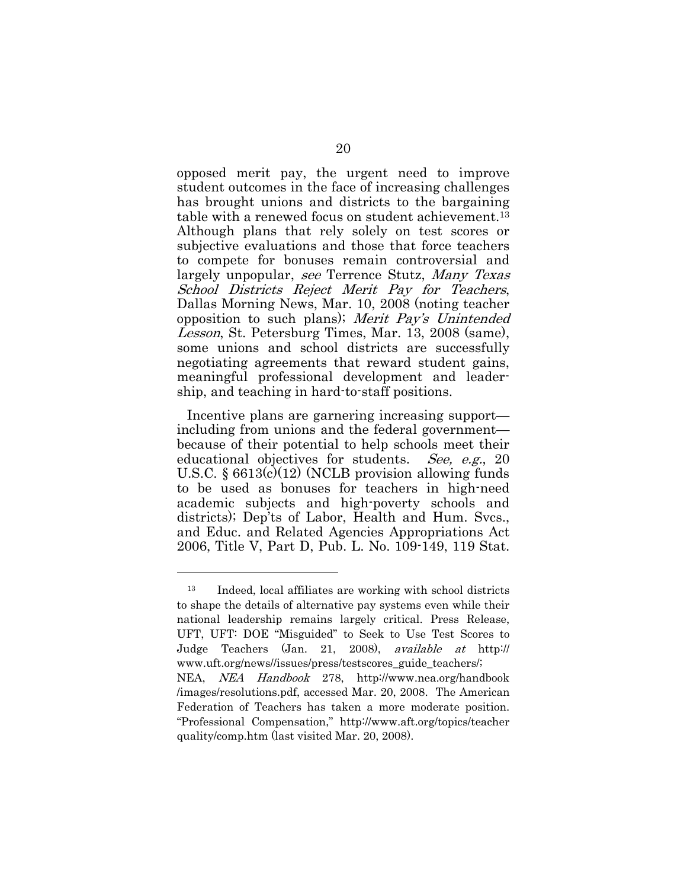opposed merit pay, the urgent need to improve student outcomes in the face of increasing challenges has brought unions and districts to the bargaining table with a renewed focus on student achievement.13 Although plans that rely solely on test scores or subjective evaluations and those that force teachers to compete for bonuses remain controversial and largely unpopular, see Terrence Stutz, Many Texas School Districts Reject Merit Pay for Teachers, Dallas Morning News, Mar. 10, 2008 (noting teacher opposition to such plans); Merit Pay's Unintended Lesson, St. Petersburg Times, Mar. 13, 2008 (same), some unions and school districts are successfully negotiating agreements that reward student gains, meaningful professional development and leadership, and teaching in hard-to-staff positions.

Incentive plans are garnering increasing support including from unions and the federal government because of their potential to help schools meet their educational objectives for students. See, e.g., 20 U.S.C. § 6613(c)(12) (NCLB provision allowing funds to be used as bonuses for teachers in high-need academic subjects and high-poverty schools and districts); Dep'ts of Labor, Health and Hum. Svcs., and Educ. and Related Agencies Appropriations Act 2006, Title V, Part D, Pub. L. No. 109-149, 119 Stat.

<sup>13</sup> Indeed, local affiliates are working with school districts to shape the details of alternative pay systems even while their national leadership remains largely critical. Press Release, UFT, UFT: DOE "Misguided" to Seek to Use Test Scores to Judge Teachers (Jan. 21, 2008), available at http:// www.uft.org/news//issues/press/testscores\_guide\_teachers/; NEA, NEA Handbook 278, http://www.nea.org/handbook /images/resolutions.pdf, accessed Mar. 20, 2008. The American Federation of Teachers has taken a more moderate position. "Professional Compensation," http://www.aft.org/topics/teacher

quality/comp.htm (last visited Mar. 20, 2008).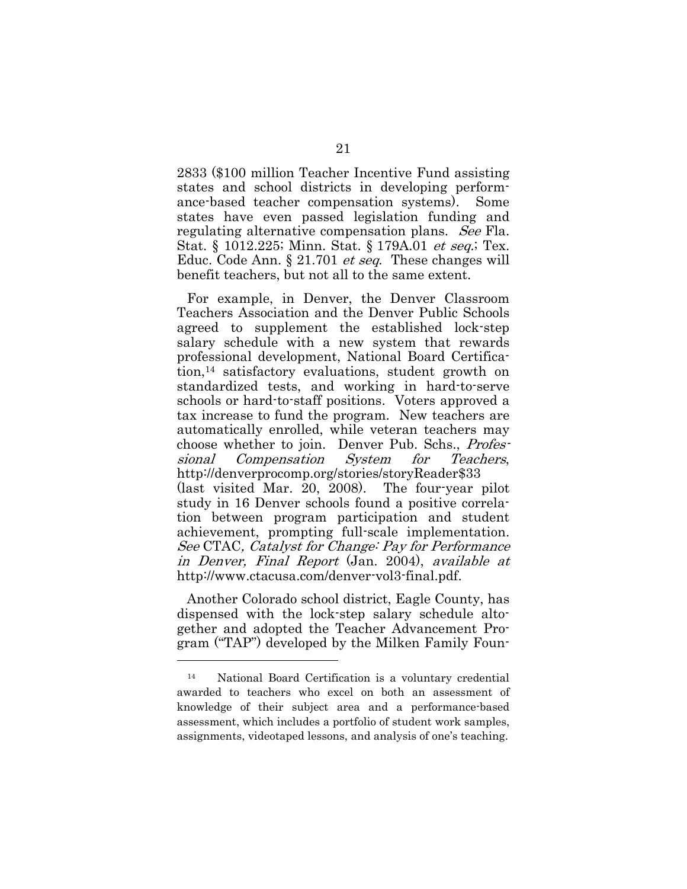2833 (\$100 million Teacher Incentive Fund assisting states and school districts in developing performance-based teacher compensation systems). Some states have even passed legislation funding and regulating alternative compensation plans. See Fla. Stat. § 1012.225; Minn. Stat. § 179A.01 et seq.; Tex. Educ. Code Ann. § 21.701 *et seq.* These changes will benefit teachers, but not all to the same extent.

For example, in Denver, the Denver Classroom Teachers Association and the Denver Public Schools agreed to supplement the established lock-step salary schedule with a new system that rewards professional development, National Board Certification,14 satisfactory evaluations, student growth on standardized tests, and working in hard-to-serve schools or hard-to-staff positions. Voters approved a tax increase to fund the program. New teachers are automatically enrolled, while veteran teachers may choose whether to join. Denver Pub. Schs., *Profes*sional Compensation System for Teachers, http://denverprocomp.org/stories/storyReader\$33 (last visited Mar. 20, 2008). The four-year pilot study in 16 Denver schools found a positive correlation between program participation and student achievement, prompting full-scale implementation. See CTAC, Catalyst for Change: Pay for Performance in Denver, Final Report (Jan. 2004), available at http://www.ctacusa.com/denver-vol3-final.pdf.

Another Colorado school district, Eagle County, has dispensed with the lock-step salary schedule altogether and adopted the Teacher Advancement Program ("TAP") developed by the Milken Family Foun-

<sup>14</sup> National Board Certification is a voluntary credential awarded to teachers who excel on both an assessment of knowledge of their subject area and a performance-based assessment, which includes a portfolio of student work samples, assignments, videotaped lessons, and analysis of one's teaching.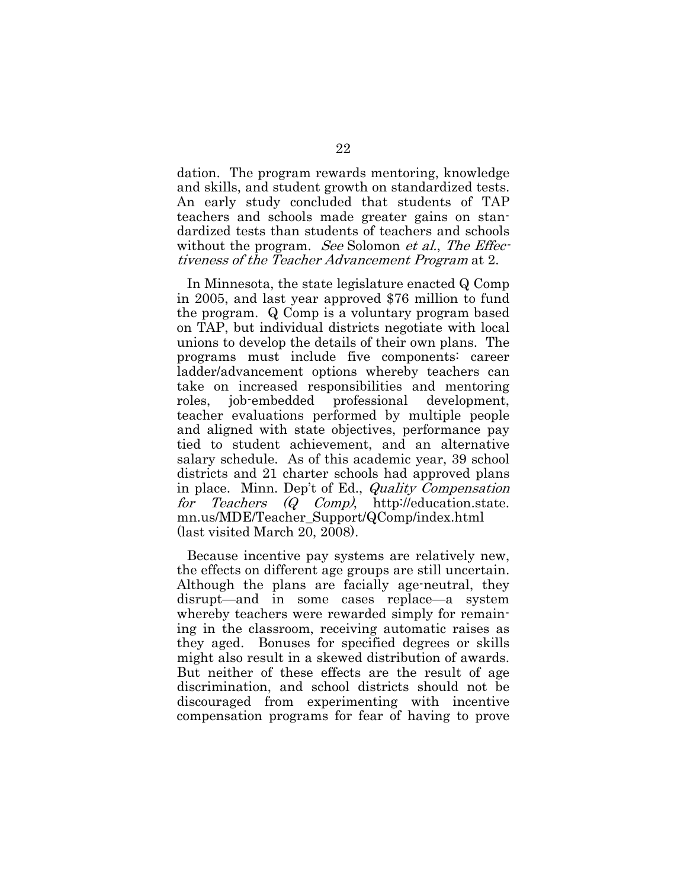dation. The program rewards mentoring, knowledge and skills, and student growth on standardized tests. An early study concluded that students of TAP teachers and schools made greater gains on standardized tests than students of teachers and schools without the program. See Solomon et al., The Effectiveness of the Teacher Advancement Program at 2.

In Minnesota, the state legislature enacted Q Comp in 2005, and last year approved \$76 million to fund the program. Q Comp is a voluntary program based on TAP, but individual districts negotiate with local unions to develop the details of their own plans. The programs must include five components: career ladder/advancement options whereby teachers can take on increased responsibilities and mentoring roles, job-embedded professional development, teacher evaluations performed by multiple people and aligned with state objectives, performance pay tied to student achievement, and an alternative salary schedule. As of this academic year, 39 school districts and 21 charter schools had approved plans in place. Minn. Dep't of Ed., Quality Compensation for Teachers (Q Comp), http://education.state. mn.us/MDE/Teacher\_Support/QComp/index.html (last visited March 20, 2008).

Because incentive pay systems are relatively new, the effects on different age groups are still uncertain. Although the plans are facially age-neutral, they disrupt—and in some cases replace—a system whereby teachers were rewarded simply for remaining in the classroom, receiving automatic raises as they aged. Bonuses for specified degrees or skills might also result in a skewed distribution of awards. But neither of these effects are the result of age discrimination, and school districts should not be discouraged from experimenting with incentive compensation programs for fear of having to prove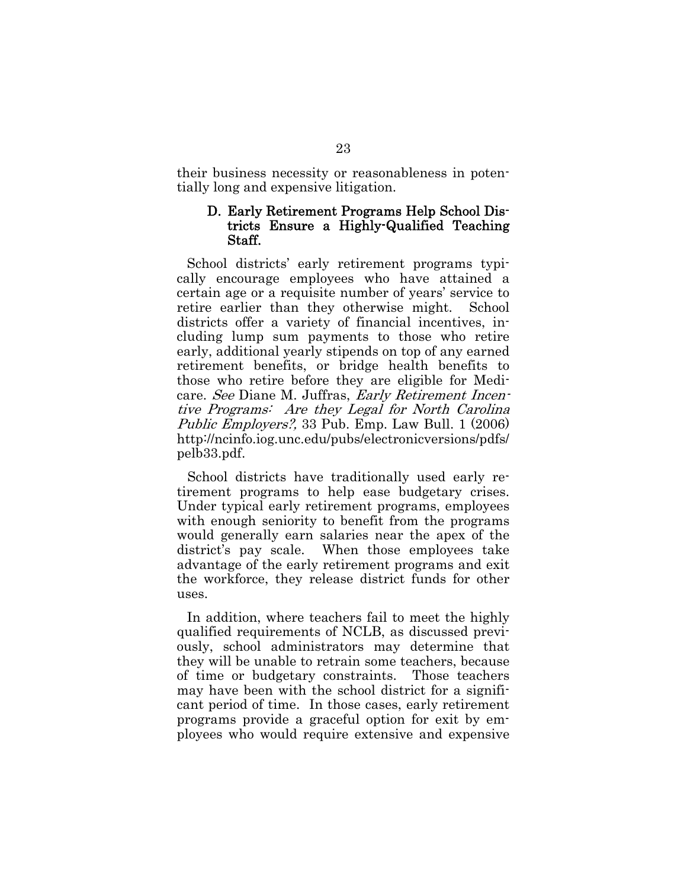their business necessity or reasonableness in potentially long and expensive litigation.

#### D. Early Retirement Programs Help School Districts Ensure a Highly-Qualified Teaching Staff.

School districts' early retirement programs typically encourage employees who have attained a certain age or a requisite number of years' service to retire earlier than they otherwise might. School districts offer a variety of financial incentives, including lump sum payments to those who retire early, additional yearly stipends on top of any earned retirement benefits, or bridge health benefits to those who retire before they are eligible for Medicare. See Diane M. Juffras, Early Retirement Incentive Programs: Are they Legal for North Carolina Public Employers?, 33 Pub. Emp. Law Bull. 1 (2006) http://ncinfo.iog.unc.edu/pubs/electronicversions/pdfs/ pelb33.pdf.

School districts have traditionally used early retirement programs to help ease budgetary crises. Under typical early retirement programs, employees with enough seniority to benefit from the programs would generally earn salaries near the apex of the district's pay scale. When those employees take advantage of the early retirement programs and exit the workforce, they release district funds for other uses.

In addition, where teachers fail to meet the highly qualified requirements of NCLB, as discussed previously, school administrators may determine that they will be unable to retrain some teachers, because of time or budgetary constraints. Those teachers may have been with the school district for a significant period of time. In those cases, early retirement programs provide a graceful option for exit by employees who would require extensive and expensive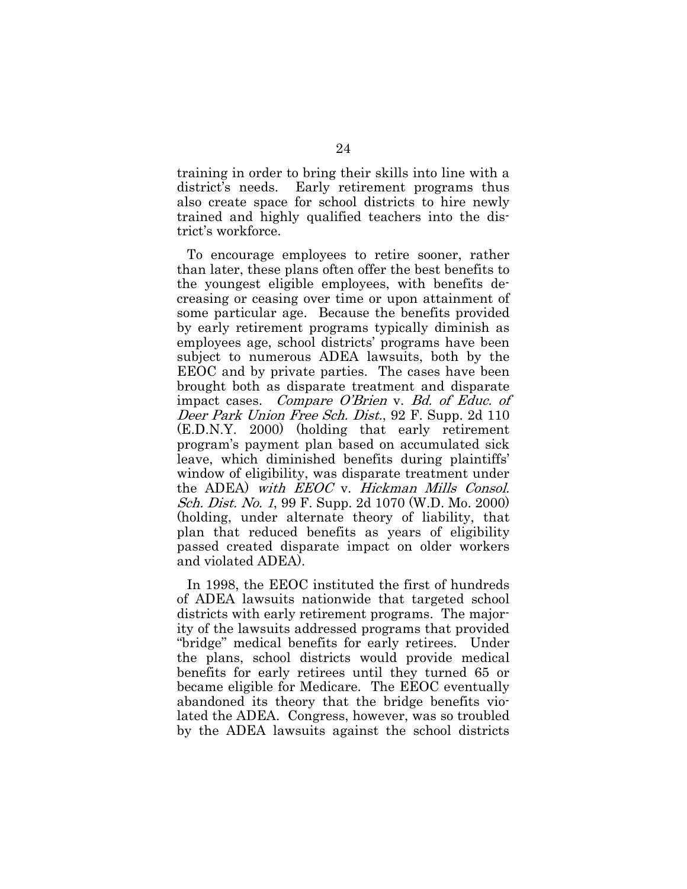training in order to bring their skills into line with a district's needs. Early retirement programs thus also create space for school districts to hire newly trained and highly qualified teachers into the district's workforce.

To encourage employees to retire sooner, rather than later, these plans often offer the best benefits to the youngest eligible employees, with benefits decreasing or ceasing over time or upon attainment of some particular age. Because the benefits provided by early retirement programs typically diminish as employees age, school districts' programs have been subject to numerous ADEA lawsuits, both by the EEOC and by private parties. The cases have been brought both as disparate treatment and disparate impact cases. Compare O'Brien v. Bd. of Educ. of Deer Park Union Free Sch. Dist., 92 F. Supp. 2d 110 (E.D.N.Y. 2000) (holding that early retirement program's payment plan based on accumulated sick leave, which diminished benefits during plaintiffs' window of eligibility, was disparate treatment under the ADEA) with EEOC v. Hickman Mills Consol. Sch. Dist. No. 1, 99 F. Supp. 2d 1070 (W.D. Mo. 2000) (holding, under alternate theory of liability, that plan that reduced benefits as years of eligibility passed created disparate impact on older workers and violated ADEA).

In 1998, the EEOC instituted the first of hundreds of ADEA lawsuits nationwide that targeted school districts with early retirement programs. The majority of the lawsuits addressed programs that provided "bridge" medical benefits for early retirees. Under the plans, school districts would provide medical benefits for early retirees until they turned 65 or became eligible for Medicare. The EEOC eventually abandoned its theory that the bridge benefits violated the ADEA. Congress, however, was so troubled by the ADEA lawsuits against the school districts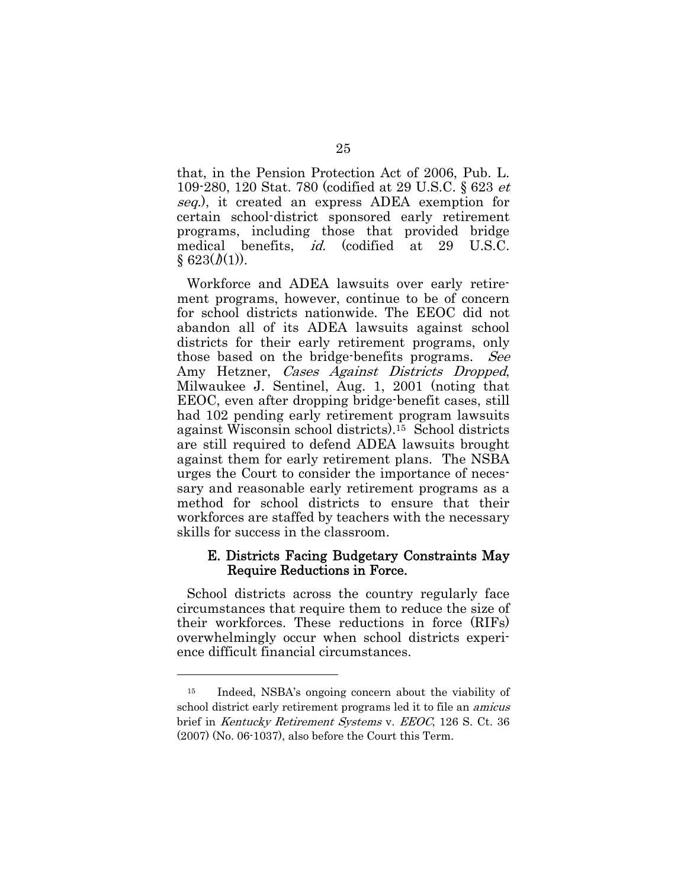that, in the Pension Protection Act of 2006, Pub. L. 109-280, 120 Stat. 780 (codified at 29 U.S.C. § 623 et seq.), it created an express ADEA exemption for certain school-district sponsored early retirement programs, including those that provided bridge medical benefits, id. (codified at 29 U.S.C.  $§ 623(*l*)(1)).$ 

Workforce and ADEA lawsuits over early retirement programs, however, continue to be of concern for school districts nationwide. The EEOC did not abandon all of its ADEA lawsuits against school districts for their early retirement programs, only those based on the bridge-benefits programs. See Amy Hetzner, Cases Against Districts Dropped, Milwaukee J. Sentinel, Aug. 1, 2001 (noting that EEOC, even after dropping bridge-benefit cases, still had 102 pending early retirement program lawsuits against Wisconsin school districts).15 School districts are still required to defend ADEA lawsuits brought against them for early retirement plans. The NSBA urges the Court to consider the importance of necessary and reasonable early retirement programs as a method for school districts to ensure that their workforces are staffed by teachers with the necessary skills for success in the classroom.

#### E. Districts Facing Budgetary Constraints May Require Reductions in Force.

School districts across the country regularly face circumstances that require them to reduce the size of their workforces. These reductions in force (RIFs) overwhelmingly occur when school districts experience difficult financial circumstances.

l

<sup>15</sup> Indeed, NSBA's ongoing concern about the viability of school district early retirement programs led it to file an amicus brief in Kentucky Retirement Systems v. EEOC, 126 S. Ct. 36 (2007) (No. 06-1037), also before the Court this Term.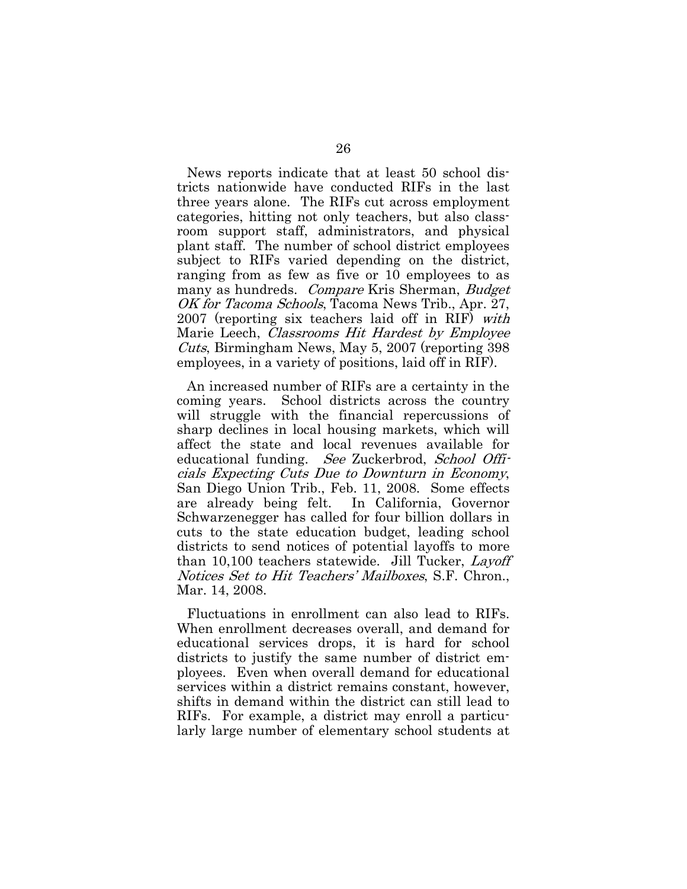News reports indicate that at least 50 school districts nationwide have conducted RIFs in the last three years alone. The RIFs cut across employment categories, hitting not only teachers, but also classroom support staff, administrators, and physical plant staff. The number of school district employees subject to RIFs varied depending on the district, ranging from as few as five or 10 employees to as many as hundreds. *Compare* Kris Sherman, *Budget* OK for Tacoma Schools, Tacoma News Trib., Apr. 27, 2007 (reporting six teachers laid off in RIF) with Marie Leech, *Classrooms Hit Hardest by Employee* Cuts, Birmingham News, May 5, 2007 (reporting 398 employees, in a variety of positions, laid off in RIF).

An increased number of RIFs are a certainty in the coming years. School districts across the country will struggle with the financial repercussions of sharp declines in local housing markets, which will affect the state and local revenues available for educational funding. See Zuckerbrod, School Officials Expecting Cuts Due to Downturn in Economy, San Diego Union Trib., Feb. 11, 2008. Some effects are already being felt. In California, Governor Schwarzenegger has called for four billion dollars in cuts to the state education budget, leading school districts to send notices of potential layoffs to more than 10,100 teachers statewide. Jill Tucker, Layoff Notices Set to Hit Teachers' Mailboxes, S.F. Chron., Mar. 14, 2008.

Fluctuations in enrollment can also lead to RIFs. When enrollment decreases overall, and demand for educational services drops, it is hard for school districts to justify the same number of district employees. Even when overall demand for educational services within a district remains constant, however, shifts in demand within the district can still lead to RIFs. For example, a district may enroll a particularly large number of elementary school students at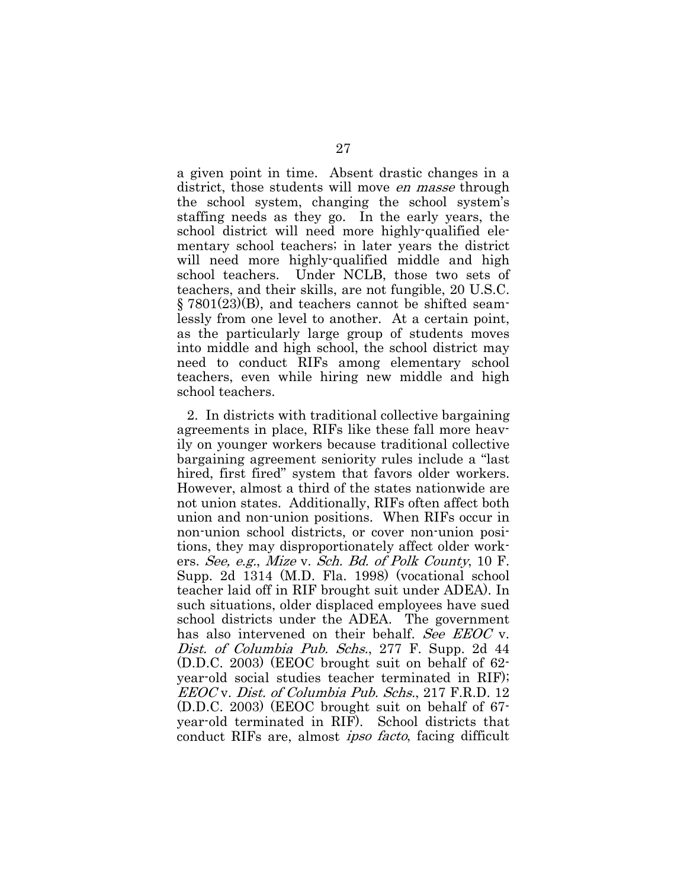a given point in time. Absent drastic changes in a district, those students will move *en masse* through the school system, changing the school system's staffing needs as they go. In the early years, the school district will need more highly-qualified elementary school teachers; in later years the district will need more highly-qualified middle and high school teachers. Under NCLB, those two sets of teachers, and their skills, are not fungible, 20 U.S.C. § 7801(23)(B), and teachers cannot be shifted seamlessly from one level to another. At a certain point, as the particularly large group of students moves into middle and high school, the school district may need to conduct RIFs among elementary school teachers, even while hiring new middle and high school teachers.

2. In districts with traditional collective bargaining agreements in place, RIFs like these fall more heavily on younger workers because traditional collective bargaining agreement seniority rules include a "last hired, first fired" system that favors older workers. However, almost a third of the states nationwide are not union states. Additionally, RIFs often affect both union and non-union positions. When RIFs occur in non-union school districts, or cover non-union positions, they may disproportionately affect older workers. See, e.g., Mize v. Sch. Bd. of Polk County, 10 F. Supp. 2d 1314 (M.D. Fla. 1998) (vocational school teacher laid off in RIF brought suit under ADEA). In such situations, older displaced employees have sued school districts under the ADEA. The government has also intervened on their behalf. See EEOC v. Dist. of Columbia Pub. Schs., 277 F. Supp. 2d 44 (D.D.C. 2003) (EEOC brought suit on behalf of 62 year-old social studies teacher terminated in RIF); EEOC v. Dist. of Columbia Pub. Schs., 217 F.R.D. 12 (D.D.C. 2003) (EEOC brought suit on behalf of 67 year-old terminated in RIF). School districts that conduct RIFs are, almost ipso facto, facing difficult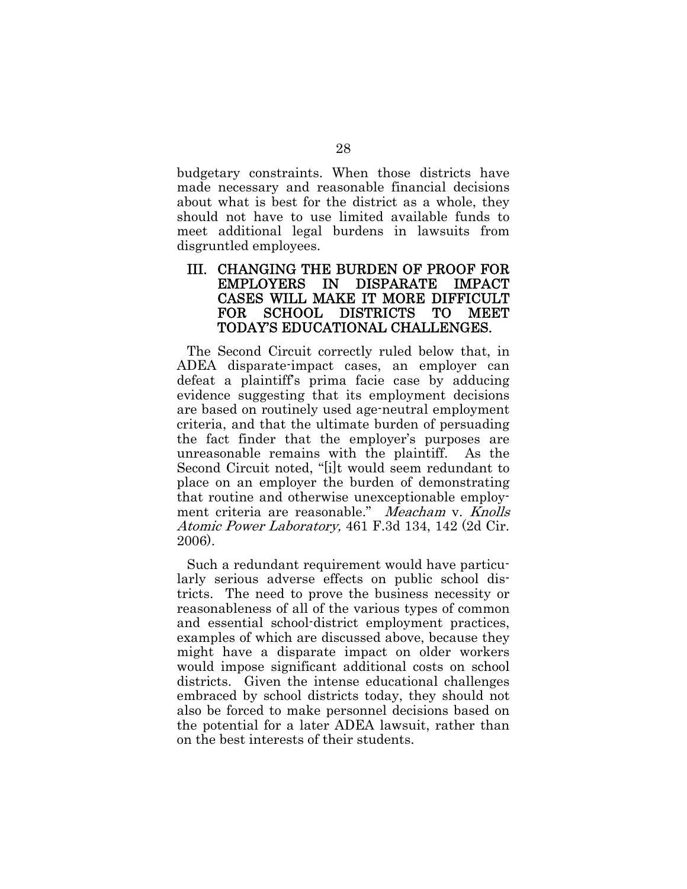budgetary constraints. When those districts have made necessary and reasonable financial decisions about what is best for the district as a whole, they should not have to use limited available funds to meet additional legal burdens in lawsuits from disgruntled employees.

#### III. CHANGING THE BURDEN OF PROOF FOR EMPLOYERS IN DISPARATE IMPACT CASES WILL MAKE IT MORE DIFFICULT FOR SCHOOL DISTRICTS TO MEET TODAY'S EDUCATIONAL CHALLENGES.

The Second Circuit correctly ruled below that, in ADEA disparate-impact cases, an employer can defeat a plaintiff's prima facie case by adducing evidence suggesting that its employment decisions are based on routinely used age-neutral employment criteria, and that the ultimate burden of persuading the fact finder that the employer's purposes are unreasonable remains with the plaintiff. As the Second Circuit noted, "[i]t would seem redundant to place on an employer the burden of demonstrating that routine and otherwise unexceptionable employment criteria are reasonable." Meacham v. Knolls Atomic Power Laboratory, 461 F.3d 134, 142 (2d Cir. 2006).

Such a redundant requirement would have particularly serious adverse effects on public school districts. The need to prove the business necessity or reasonableness of all of the various types of common and essential school-district employment practices, examples of which are discussed above, because they might have a disparate impact on older workers would impose significant additional costs on school districts. Given the intense educational challenges embraced by school districts today, they should not also be forced to make personnel decisions based on the potential for a later ADEA lawsuit, rather than on the best interests of their students.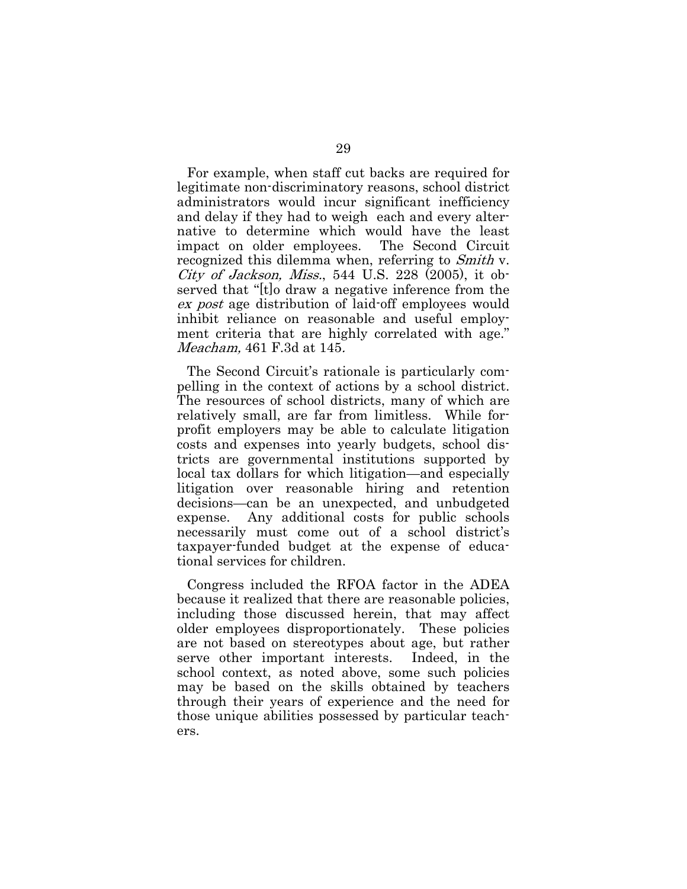For example, when staff cut backs are required for legitimate non-discriminatory reasons, school district administrators would incur significant inefficiency and delay if they had to weigh each and every alternative to determine which would have the least impact on older employees. The Second Circuit recognized this dilemma when, referring to Smith v. City of Jackson, Miss., 544 U.S. 228 (2005), it observed that "[t]o draw a negative inference from the ex post age distribution of laid-off employees would inhibit reliance on reasonable and useful employment criteria that are highly correlated with age." Meacham, 461 F.3d at 145.

The Second Circuit's rationale is particularly compelling in the context of actions by a school district. The resources of school districts, many of which are relatively small, are far from limitless. While forprofit employers may be able to calculate litigation costs and expenses into yearly budgets, school districts are governmental institutions supported by local tax dollars for which litigation—and especially litigation over reasonable hiring and retention decisions—can be an unexpected, and unbudgeted expense. Any additional costs for public schools necessarily must come out of a school district's taxpayer-funded budget at the expense of educational services for children.

Congress included the RFOA factor in the ADEA because it realized that there are reasonable policies, including those discussed herein, that may affect older employees disproportionately. These policies are not based on stereotypes about age, but rather serve other important interests. Indeed, in the school context, as noted above, some such policies may be based on the skills obtained by teachers through their years of experience and the need for those unique abilities possessed by particular teachers.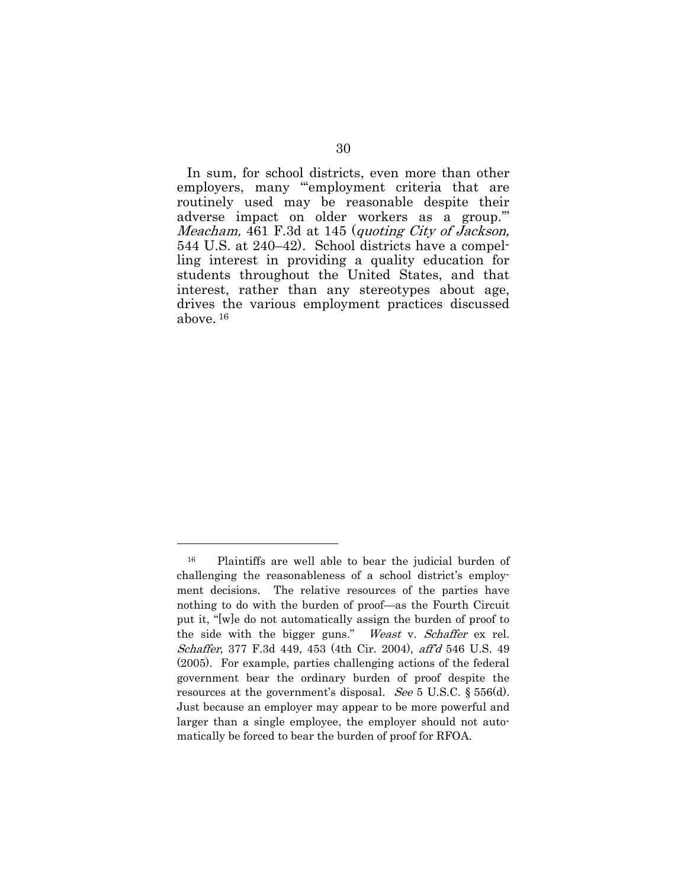In sum, for school districts, even more than other employers, many "employment criteria that are routinely used may be reasonable despite their adverse impact on older workers as a group.'" Meacham, 461 F.3d at 145 (quoting City of Jackson, 544 U.S. at 240–42). School districts have a compelling interest in providing a quality education for students throughout the United States, and that interest, rather than any stereotypes about age, drives the various employment practices discussed above. 16

l

<sup>16</sup> Plaintiffs are well able to bear the judicial burden of challenging the reasonableness of a school district's employment decisions. The relative resources of the parties have nothing to do with the burden of proof—as the Fourth Circuit put it, "[w]e do not automatically assign the burden of proof to the side with the bigger guns." Weast v. Schaffer ex rel. Schaffer, 377 F.3d 449, 453 (4th Cir. 2004), aff'd 546 U.S. 49 (2005). For example, parties challenging actions of the federal government bear the ordinary burden of proof despite the resources at the government's disposal. See 5 U.S.C. § 556(d). Just because an employer may appear to be more powerful and larger than a single employee, the employer should not automatically be forced to bear the burden of proof for RFOA.